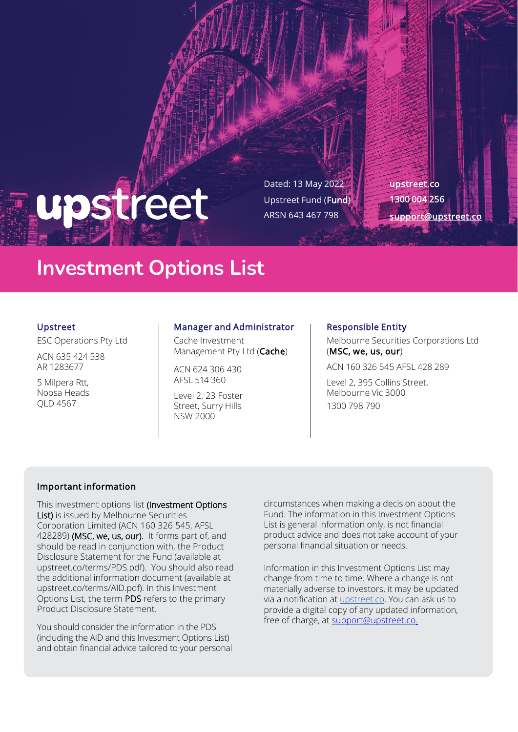# upstreet

Dated: 13 May 2022 Upstreet Fund (Fund) ARSN 643 467 798

upstreet.co 1300 004 256 [support@upstreet.co](mailto:support@upstreet.co)

### **Investment Options List**

#### Upstreet

ESC Operations Pty Ltd

ACN 635 424 538 AR 1283677

5 Milpera Rtt, Noosa Heads QLD 4567

#### Manager and Administrator

Cache Investment Management Pty Ltd (Cache)

ACN 624 306 430 AFSL 514 360

Level 2, 23 Foster Street, Surry Hills NSW 2000

#### Responsible Entity

Melbourne Securities Corporations Ltd (MSC, we, us, our)

ACN 160 326 545 AFSL 428 289

Level 2, 395 Collins Street, Melbourne Vic 3000 1300 798 790

#### Important information

This investment options list (Investment Options List) is issued by Melbourne Securities Corporation Limited (ACN 160 326 545, AFSL 428289) (MSC, we, us, our). It forms part of, and should be read in conjunction with, the Product Disclosure Statement for the Fund (available at upstreet.co/terms/PDS.pdf). You should also read the additional information document (available at upstreet.co/terms/AID.pdf). In this Investment Options List, the term PDS refers to the primary Product Disclosure Statement.

You should consider the information in the PDS (including the AID and this Investment Options List) and obtain financial advice tailored to your personal

circumstances when making a decision about the Fund. The information in this Investment Options List is general information only, is not financial product advice and does not take account of your personal financial situation or needs.

Information in this Investment Options List may change from time to time. Where a change is not materially adverse to investors, it may be updated via a notification at upstreet.co. You can ask us to provide a digital copy of any updated information, free of charge, at [support@upstreet.co.](mailto:support@upstreet.co)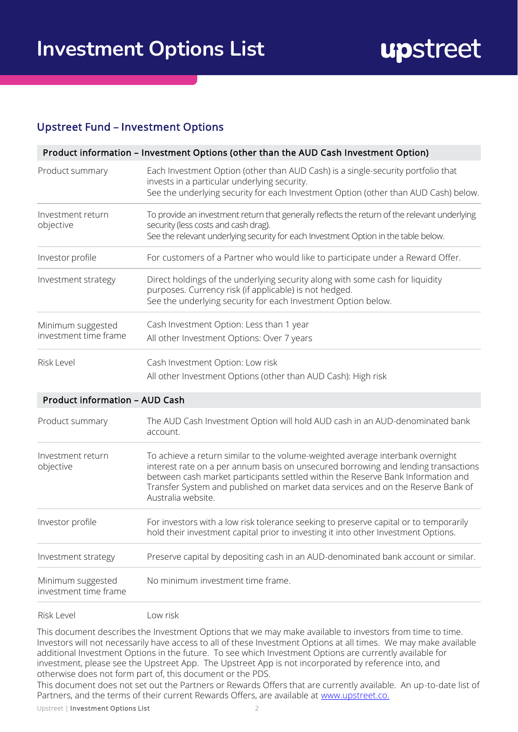#### Upstreet Fund – Investment Options

|                                            | Product information - Investment Options (other than the AUD Cash Investment Option)                                                                                                                                                                                                                                                                               |
|--------------------------------------------|--------------------------------------------------------------------------------------------------------------------------------------------------------------------------------------------------------------------------------------------------------------------------------------------------------------------------------------------------------------------|
| Product summary                            | Each Investment Option (other than AUD Cash) is a single-security portfolio that<br>invests in a particular underlying security.                                                                                                                                                                                                                                   |
|                                            | See the underlying security for each Investment Option (other than AUD Cash) below.                                                                                                                                                                                                                                                                                |
| Investment return<br>objective             | To provide an investment return that generally reflects the return of the relevant underlying<br>security (less costs and cash drag).                                                                                                                                                                                                                              |
|                                            | See the relevant underlying security for each Investment Option in the table below.                                                                                                                                                                                                                                                                                |
| Investor profile                           | For customers of a Partner who would like to participate under a Reward Offer.                                                                                                                                                                                                                                                                                     |
| Investment strategy                        | Direct holdings of the underlying security along with some cash for liquidity<br>purposes. Currency risk (if applicable) is not hedged.<br>See the underlying security for each Investment Option below.                                                                                                                                                           |
|                                            |                                                                                                                                                                                                                                                                                                                                                                    |
| Minimum suggested<br>investment time frame | Cash Investment Option: Less than 1 year                                                                                                                                                                                                                                                                                                                           |
|                                            | All other Investment Options: Over 7 years                                                                                                                                                                                                                                                                                                                         |
| <b>Risk Level</b>                          | Cash Investment Option: Low risk                                                                                                                                                                                                                                                                                                                                   |
|                                            | All other Investment Options (other than AUD Cash): High risk                                                                                                                                                                                                                                                                                                      |
| <b>Product information - AUD Cash</b>      |                                                                                                                                                                                                                                                                                                                                                                    |
| Product summary                            | The AUD Cash Investment Option will hold AUD cash in an AUD-denominated bank<br>account.                                                                                                                                                                                                                                                                           |
| Investment return<br>objective             | To achieve a return similar to the volume-weighted average interbank overnight<br>interest rate on a per annum basis on unsecured borrowing and lending transactions<br>between cash market participants settled within the Reserve Bank Information and<br>Transfer System and published on market data services and on the Reserve Bank of<br>Australia website. |
| Investor profile                           | For investors with a low risk tolerance seeking to preserve capital or to temporarily<br>hold their investment capital prior to investing it into other Investment Options.                                                                                                                                                                                        |
| Investment strategy                        | Preserve capital by depositing cash in an AUD-denominated bank account or similar.                                                                                                                                                                                                                                                                                 |
| Minimum suggested                          | No minimum investment time frame.                                                                                                                                                                                                                                                                                                                                  |

Risk Level Low risk

investment time frame

This document describes the Investment Options that we may make available to investors from time to time. Investors will not necessarily have access to all of these Investment Options at all times. We may make available additional Investment Options in the future. To see which Investment Options are currently available for investment, please see the Upstreet App. The Upstreet App is not incorporated by reference into, and otherwise does not form part of, this document or the PDS.

This document does not set out the Partners or Rewards Offers that are currently available. An up-to-date list of Partners, and the terms of their current Rewards Offers, are available at [www.upstreet.co.](http://www.upstreet.co./) 

Upstreet | Investment Options List 2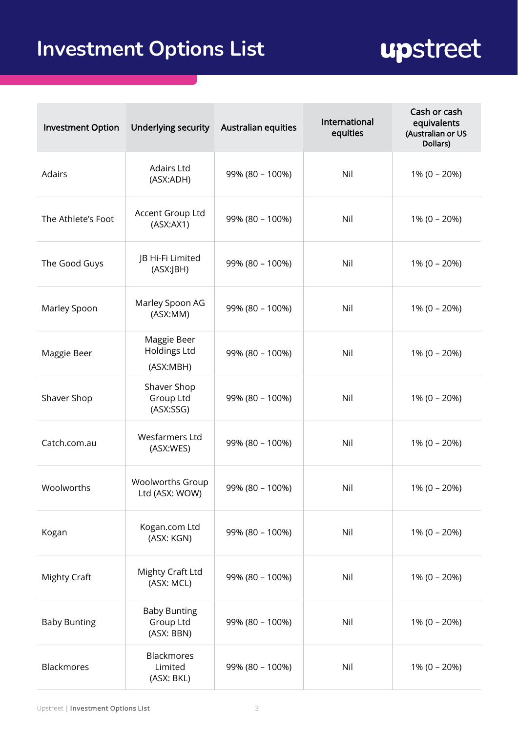# upstreet

| <b>Investment Option</b> | Underlying security                             | <b>Australian equities</b> | International<br>equities | Cash or cash<br>equivalents<br>(Australian or US<br>Dollars) |
|--------------------------|-------------------------------------------------|----------------------------|---------------------------|--------------------------------------------------------------|
| Adairs                   | <b>Adairs Ltd</b><br>(ASX:ADH)                  | 99% (80 - 100%)            | Nil                       | $1\% (0 - 20\%)$                                             |
| The Athlete's Foot       | Accent Group Ltd<br>(ASK:AX1)                   | 99% (80 - 100%)            | Nil                       | $1\% (0 - 20\%)$                                             |
| The Good Guys            | JB Hi-Fi Limited<br>(ASX:JBH)                   | 99% (80 - 100%)            | Nil                       | $1\% (0 - 20\%)$                                             |
| Marley Spoon             | Marley Spoon AG<br>(ASX:MM)                     | 99% (80 - 100%)            | Nil                       | $1\% (0 - 20\%)$                                             |
| Maggie Beer              | Maggie Beer<br><b>Holdings Ltd</b><br>(ASX:MBH) | 99% (80 - 100%)            | Nil                       | $1\% (0 - 20\%)$                                             |
| Shaver Shop              | Shaver Shop<br>Group Ltd<br>(ASK:SSG)           | 99% (80 - 100%)            | Nil                       | $1\% (0 - 20\%)$                                             |
| Catch.com.au             | Wesfarmers Ltd<br>(ASX:WES)                     | 99% (80 - 100%)            | Nil                       | $1\% (0 - 20\%)$                                             |
| Woolworths               | <b>Woolworths Group</b><br>Ltd (ASX: WOW)       | 99% (80 - 100%)            | Nil                       | $1\% (0 - 20\%)$                                             |
| Kogan                    | Kogan.com Ltd<br>(ASX: KGN)                     | 99% (80 - 100%)            | Nil                       | $1\% (0 - 20\%)$                                             |
| <b>Mighty Craft</b>      | Mighty Craft Ltd<br>(ASX: MCL)                  | 99% (80 - 100%)            | Nil                       | $1\% (0 - 20\%)$                                             |
| <b>Baby Bunting</b>      | <b>Baby Bunting</b><br>Group Ltd<br>(ASX: BBN)  | 99% (80 - 100%)            | Nil                       | $1\% (0 - 20\%)$                                             |
| Blackmores               | <b>Blackmores</b><br>Limited<br>(ASX: BKL)      | 99% (80 - 100%)            | Nil                       | $1\% (0 - 20\%)$                                             |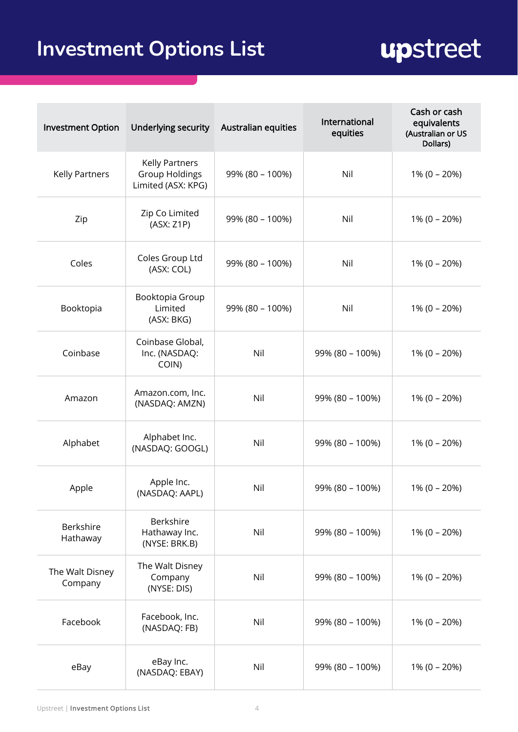# upstreet

| <b>Investment Option</b>     | Underlying security                                                  | Australian equities | International<br>equities | Cash or cash<br>equivalents<br>(Australian or US<br>Dollars) |
|------------------------------|----------------------------------------------------------------------|---------------------|---------------------------|--------------------------------------------------------------|
| Kelly Partners               | <b>Kelly Partners</b><br><b>Group Holdings</b><br>Limited (ASX: KPG) | 99% (80 - 100%)     | Nil                       | $1\% (0 - 20\%)$                                             |
| Zip                          | Zip Co Limited<br>(ASX: Z1P)                                         | 99% (80 - 100%)     | Nil                       | $1\% (0 - 20\%)$                                             |
| Coles                        | Coles Group Ltd<br>(ASX: COL)                                        | 99% (80 - 100%)     | Nil                       | $1\% (0 - 20\%)$                                             |
| Booktopia                    | Booktopia Group<br>Limited<br>(ASX: BKG)                             | 99% (80 - 100%)     | Nil                       | $1\% (0 - 20\%)$                                             |
| Coinbase                     | Coinbase Global,<br>Inc. (NASDAQ:<br>COIN)                           | Nil                 | 99% (80 - 100%)           | $1\% (0 - 20\%)$                                             |
| Amazon                       | Amazon.com, Inc.<br>(NASDAQ: AMZN)                                   | Nil                 | 99% (80 - 100%)           | $1\% (0 - 20\%)$                                             |
| Alphabet                     | Alphabet Inc.<br>(NASDAQ: GOOGL)                                     | Nil                 | 99% (80 - 100%)           | $1\% (0 - 20\%)$                                             |
| Apple                        | Apple Inc.<br>(NASDAQ: AAPL)                                         | Nil                 | 99% (80 - 100%)           | $1\% (0 - 20\%)$                                             |
| <b>Berkshire</b><br>Hathaway | Berkshire<br>Hathaway Inc.<br>(NYSE: BRK.B)                          | Nil                 | 99% (80 - 100%)           | $1\% (0 - 20\%)$                                             |
| The Walt Disney<br>Company   | The Walt Disney<br>Company<br>(NYSE: DIS)                            | Nil                 | 99% (80 - 100%)           | $1\% (0 - 20\%)$                                             |
| Facebook                     | Facebook, Inc.<br>(NASDAQ: FB)                                       | Nil                 | 99% (80 - 100%)           | $1\% (0 - 20\%)$                                             |
| eBay                         | eBay Inc.<br>(NASDAQ: EBAY)                                          | Nil                 | 99% (80 - 100%)           | $1\% (0 - 20\%)$                                             |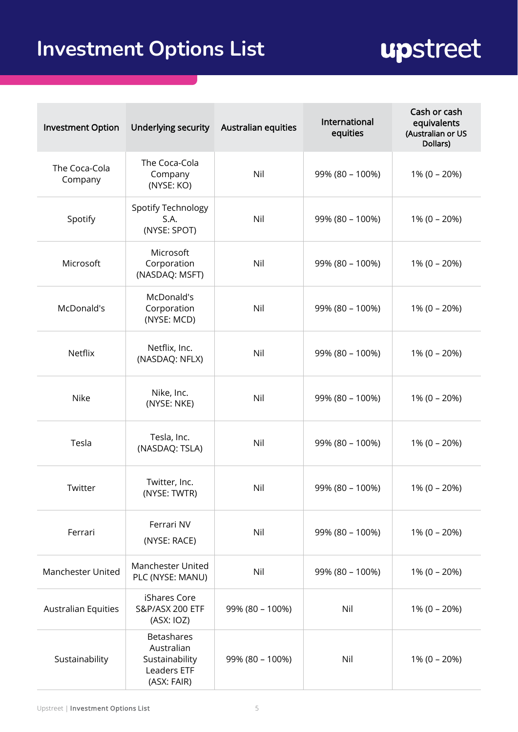# upstreet

| <b>Investment Option</b>   | Underlying security                                                             | <b>Australian equities</b> | International<br>equities | Cash or cash<br>equivalents<br>(Australian or US<br>Dollars) |
|----------------------------|---------------------------------------------------------------------------------|----------------------------|---------------------------|--------------------------------------------------------------|
| The Coca-Cola<br>Company   | The Coca-Cola<br>Company<br>(NYSE: KO)                                          | Nil                        | 99% (80 - 100%)           | $1\% (0 - 20\%)$                                             |
| Spotify                    | <b>Spotify Technology</b><br>S.A.<br>(NYSE: SPOT)                               | Nil                        | 99% (80 - 100%)           | $1\% (0 - 20\%)$                                             |
| Microsoft                  | Microsoft<br>Corporation<br>(NASDAQ: MSFT)                                      | Nil                        | 99% (80 - 100%)           | $1\% (0 - 20\%)$                                             |
| McDonald's                 | McDonald's<br>Corporation<br>(NYSE: MCD)                                        | Nil                        | 99% (80 - 100%)           | $1\% (0 - 20\%)$                                             |
| Netflix                    | Netflix, Inc.<br>(NASDAQ: NFLX)                                                 | Nil                        | 99% (80 - 100%)           | $1\% (0 - 20\%)$                                             |
| Nike                       | Nike, Inc.<br>(NYSE: NKE)                                                       | Nil                        | 99% (80 - 100%)           | $1\% (0 - 20\%)$                                             |
| Tesla                      | Tesla, Inc.<br>(NASDAQ: TSLA)                                                   | Nil                        | 99% (80 - 100%)           | $1\% (0 - 20\%)$                                             |
| Twitter                    | Twitter, Inc.<br>(NYSE: TWTR)                                                   | Nil                        | 99% (80 - 100%)           | $1\% (0 - 20\%)$                                             |
| Ferrari                    | Ferrari NV<br>(NYSE: RACE)                                                      | Nil                        | 99% (80 - 100%)           | $1\% (0 - 20\%)$                                             |
| <b>Manchester United</b>   | Manchester United<br>PLC (NYSE: MANU)                                           | Nil                        | 99% (80 - 100%)           | $1\% (0 - 20\%)$                                             |
| <b>Australian Equities</b> | iShares Core<br><b>S&amp;P/ASX 200 ETF</b><br>(ASK: IOZ)                        | 99% (80 - 100%)            | Nil                       | $1\% (0 - 20\%)$                                             |
| Sustainability             | <b>Betashares</b><br>Australian<br>Sustainability<br>Leaders ETF<br>(ASX: FAIR) | 99% (80 - 100%)            | Nil                       | $1\% (0 - 20\%)$                                             |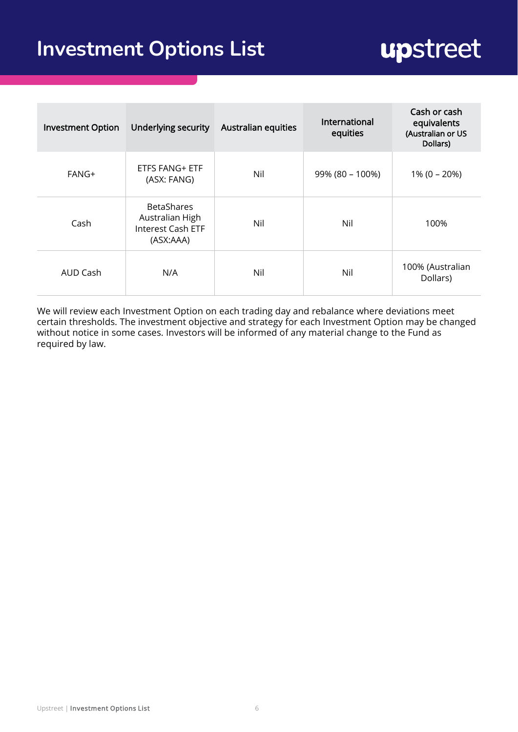## upstreet

| <b>Investment Option</b> | <b>Underlying security</b>                                             | <b>Australian equities</b> | International<br>equities | Cash or cash<br>equivalents<br>(Australian or US<br>Dollars) |
|--------------------------|------------------------------------------------------------------------|----------------------------|---------------------------|--------------------------------------------------------------|
| FANG+                    | ETFS FANG+ ETF<br>(ASX: FANG)                                          | Nil                        | 99% (80 - 100%)           | $1\% (0 - 20\%)$                                             |
| Cash                     | <b>BetaShares</b><br>Australian High<br>Interest Cash ETF<br>(ASX:AAA) | Nil                        | Nil                       | 100%                                                         |
| AUD Cash                 | N/A                                                                    | Nil                        | Nil                       | 100% (Australian<br>Dollars)                                 |

We will review each Investment Option on each trading day and rebalance where deviations meet certain thresholds. The investment objective and strategy for each Investment Option may be changed without notice in some cases. Investors will be informed of any material change to the Fund as required by law.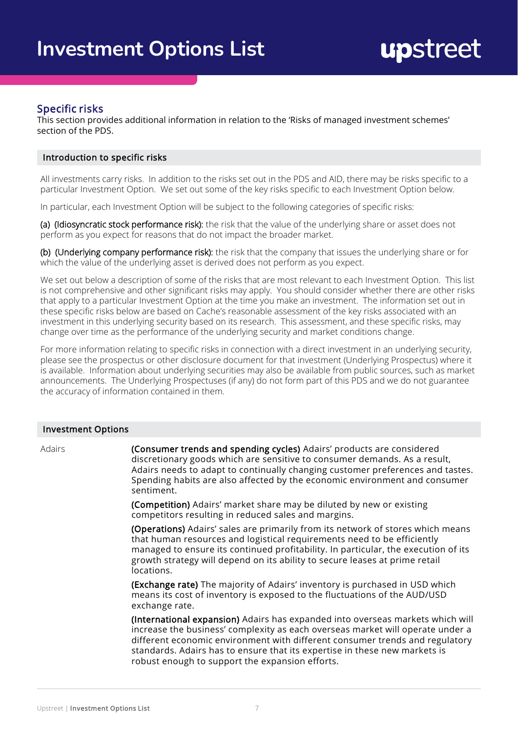#### Specific risks

This section provides additional information in relation to the 'Risks of managed investment schemes' section of the PDS.

#### Introduction to specific risks

All investments carry risks. In addition to the risks set out in the PDS and AID, there may be risks specific to a particular Investment Option. We set out some of the key risks specific to each Investment Option below.

In particular, each Investment Option will be subject to the following categories of specific risks:

(a) (Idiosyncratic stock performance risk): the risk that the value of the underlying share or asset does not perform as you expect for reasons that do not impact the broader market.

(b) (Underlying company performance risk): the risk that the company that issues the underlying share or for which the value of the underlying asset is derived does not perform as you expect.

We set out below a description of some of the risks that are most relevant to each Investment Option. This list is not comprehensive and other significant risks may apply. You should consider whether there are other risks that apply to a particular Investment Option at the time you make an investment. The information set out in these specific risks below are based on Cache's reasonable assessment of the key risks associated with an investment in this underlying security based on its research. This assessment, and these specific risks, may change over time as the performance of the underlying security and market conditions change.

For more information relating to specific risks in connection with a direct investment in an underlying security, please see the prospectus or other disclosure document for that investment (Underlying Prospectus) where it is available. Information about underlying securities may also be available from public sources, such as market announcements. The Underlying Prospectuses (if any) do not form part of this PDS and we do not guarantee the accuracy of information contained in them.

#### Investment Options

Adairs **(Consumer trends and spending cycles)** Adairs' products are considered discretionary goods which are sensitive to consumer demands. As a result, Adairs needs to adapt to continually changing customer preferences and tastes. Spending habits are also affected by the economic environment and consumer sentiment.

> (Competition) Adairs' market share may be diluted by new or existing competitors resulting in reduced sales and margins.

(Operations) Adairs' sales are primarily from its network of stores which means that human resources and logistical requirements need to be efficiently managed to ensure its continued profitability. In particular, the execution of its growth strategy will depend on its ability to secure leases at prime retail locations.

(Exchange rate) The majority of Adairs' inventory is purchased in USD which means its cost of inventory is exposed to the fluctuations of the AUD/USD exchange rate.

(International expansion) Adairs has expanded into overseas markets which will increase the business' complexity as each overseas market will operate under a different economic environment with different consumer trends and regulatory standards. Adairs has to ensure that its expertise in these new markets is robust enough to support the expansion efforts.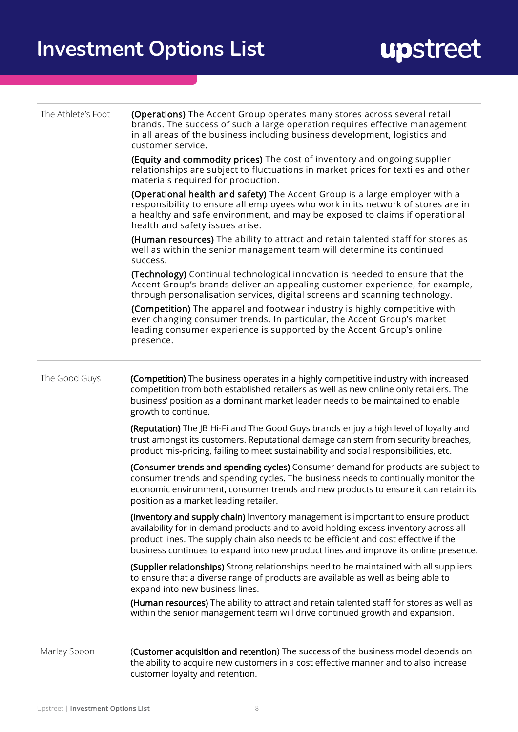| The Athlete's Foot | (Operations) The Accent Group operates many stores across several retail<br>brands. The success of such a large operation requires effective management<br>in all areas of the business including business development, logistics and<br>customer service.                                                                                               |  |  |  |
|--------------------|----------------------------------------------------------------------------------------------------------------------------------------------------------------------------------------------------------------------------------------------------------------------------------------------------------------------------------------------------------|--|--|--|
|                    | (Equity and commodity prices) The cost of inventory and ongoing supplier<br>relationships are subject to fluctuations in market prices for textiles and other<br>materials required for production.                                                                                                                                                      |  |  |  |
|                    | (Operational health and safety) The Accent Group is a large employer with a<br>responsibility to ensure all employees who work in its network of stores are in<br>a healthy and safe environment, and may be exposed to claims if operational<br>health and safety issues arise.                                                                         |  |  |  |
|                    | (Human resources) The ability to attract and retain talented staff for stores as<br>well as within the senior management team will determine its continued<br>success.                                                                                                                                                                                   |  |  |  |
|                    | (Technology) Continual technological innovation is needed to ensure that the<br>Accent Group's brands deliver an appealing customer experience, for example,<br>through personalisation services, digital screens and scanning technology.                                                                                                               |  |  |  |
|                    | (Competition) The apparel and footwear industry is highly competitive with<br>ever changing consumer trends. In particular, the Accent Group's market<br>leading consumer experience is supported by the Accent Group's online<br>presence.                                                                                                              |  |  |  |
| The Good Guys      | (Competition) The business operates in a highly competitive industry with increased<br>competition from both established retailers as well as new online only retailers. The<br>business' position as a dominant market leader needs to be maintained to enable<br>growth to continue.                                                                   |  |  |  |
|                    | (Reputation) The JB Hi-Fi and The Good Guys brands enjoy a high level of loyalty and<br>trust amongst its customers. Reputational damage can stem from security breaches,<br>product mis-pricing, failing to meet sustainability and social responsibilities, etc.                                                                                       |  |  |  |
|                    | (Consumer trends and spending cycles) Consumer demand for products are subject to<br>consumer trends and spending cycles. The business needs to continually monitor the<br>economic environment, consumer trends and new products to ensure it can retain its<br>position as a market leading retailer.                                                  |  |  |  |
|                    | (Inventory and supply chain) Inventory management is important to ensure product<br>availability for in demand products and to avoid holding excess inventory across all<br>product lines. The supply chain also needs to be efficient and cost effective if the<br>business continues to expand into new product lines and improve its online presence. |  |  |  |
|                    | (Supplier relationships) Strong relationships need to be maintained with all suppliers<br>to ensure that a diverse range of products are available as well as being able to<br>expand into new business lines.                                                                                                                                           |  |  |  |
|                    | (Human resources) The ability to attract and retain talented staff for stores as well as<br>within the senior management team will drive continued growth and expansion.                                                                                                                                                                                 |  |  |  |
| Marley Spoon       | (Customer acquisition and retention) The success of the business model depends on<br>the ability to acquire new customers in a cost effective manner and to also increase<br>customer loyalty and retention.                                                                                                                                             |  |  |  |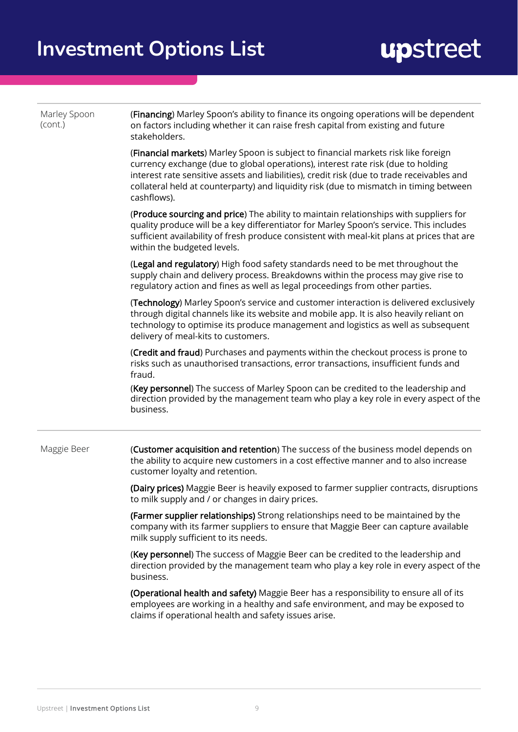| Marley Spoon<br>(cont.) | (Financing) Marley Spoon's ability to finance its ongoing operations will be dependent<br>on factors including whether it can raise fresh capital from existing and future<br>stakeholders.                                                                                                                                                                                   |
|-------------------------|-------------------------------------------------------------------------------------------------------------------------------------------------------------------------------------------------------------------------------------------------------------------------------------------------------------------------------------------------------------------------------|
|                         | (Financial markets) Marley Spoon is subject to financial markets risk like foreign<br>currency exchange (due to global operations), interest rate risk (due to holding<br>interest rate sensitive assets and liabilities), credit risk (due to trade receivables and<br>collateral held at counterparty) and liquidity risk (due to mismatch in timing between<br>cashflows). |
|                         | (Produce sourcing and price) The ability to maintain relationships with suppliers for<br>quality produce will be a key differentiator for Marley Spoon's service. This includes<br>sufficient availability of fresh produce consistent with meal-kit plans at prices that are<br>within the budgeted levels.                                                                  |
|                         | (Legal and regulatory) High food safety standards need to be met throughout the<br>supply chain and delivery process. Breakdowns within the process may give rise to<br>regulatory action and fines as well as legal proceedings from other parties.                                                                                                                          |
|                         | (Technology) Marley Spoon's service and customer interaction is delivered exclusively<br>through digital channels like its website and mobile app. It is also heavily reliant on<br>technology to optimise its produce management and logistics as well as subsequent<br>delivery of meal-kits to customers.                                                                  |
|                         | (Credit and fraud) Purchases and payments within the checkout process is prone to<br>risks such as unauthorised transactions, error transactions, insufficient funds and<br>fraud.                                                                                                                                                                                            |
|                         | (Key personnel) The success of Marley Spoon can be credited to the leadership and<br>direction provided by the management team who play a key role in every aspect of the<br>business.                                                                                                                                                                                        |
| Maggie Beer             | (Customer acquisition and retention) The success of the business model depends on<br>the ability to acquire new customers in a cost effective manner and to also increase<br>customer loyalty and retention.                                                                                                                                                                  |
|                         | (Dairy prices) Maggie Beer is heavily exposed to farmer supplier contracts, disruptions<br>to milk supply and / or changes in dairy prices.                                                                                                                                                                                                                                   |
|                         | (Farmer supplier relationships) Strong relationships need to be maintained by the<br>company with its farmer suppliers to ensure that Maggie Beer can capture available<br>milk supply sufficient to its needs.                                                                                                                                                               |
|                         | (Key personnel) The success of Maggie Beer can be credited to the leadership and<br>direction provided by the management team who play a key role in every aspect of the<br>business.                                                                                                                                                                                         |
|                         | (Operational health and safety) Maggie Beer has a responsibility to ensure all of its<br>employees are working in a healthy and safe environment, and may be exposed to<br>claims if operational health and safety issues arise.                                                                                                                                              |
|                         |                                                                                                                                                                                                                                                                                                                                                                               |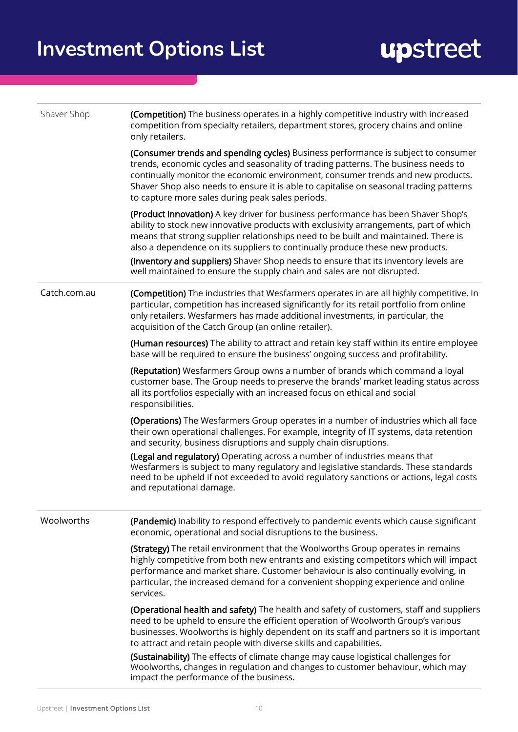| Shaver Shop  | (Competition) The business operates in a highly competitive industry with increased<br>competition from specialty retailers, department stores, grocery chains and online<br>only retailers.                                                                                                                                                                                                                                                                                                                        |
|--------------|---------------------------------------------------------------------------------------------------------------------------------------------------------------------------------------------------------------------------------------------------------------------------------------------------------------------------------------------------------------------------------------------------------------------------------------------------------------------------------------------------------------------|
|              | (Consumer trends and spending cycles) Business performance is subject to consumer<br>trends, economic cycles and seasonality of trading patterns. The business needs to<br>continually monitor the economic environment, consumer trends and new products.<br>Shaver Shop also needs to ensure it is able to capitalise on seasonal trading patterns<br>to capture more sales during peak sales periods.                                                                                                            |
|              | (Product innovation) A key driver for business performance has been Shaver Shop's<br>ability to stock new innovative products with exclusivity arrangements, part of which<br>means that strong supplier relationships need to be built and maintained. There is<br>also a dependence on its suppliers to continually produce these new products.<br>(Inventory and suppliers) Shaver Shop needs to ensure that its inventory levels are<br>well maintained to ensure the supply chain and sales are not disrupted. |
| Catch.com.au | (Competition) The industries that Wesfarmers operates in are all highly competitive. In<br>particular, competition has increased significantly for its retail portfolio from online<br>only retailers. Wesfarmers has made additional investments, in particular, the<br>acquisition of the Catch Group (an online retailer).                                                                                                                                                                                       |
|              | (Human resources) The ability to attract and retain key staff within its entire employee<br>base will be required to ensure the business' ongoing success and profitability.                                                                                                                                                                                                                                                                                                                                        |
|              | (Reputation) Wesfarmers Group owns a number of brands which command a loyal<br>customer base. The Group needs to preserve the brands' market leading status across<br>all its portfolios especially with an increased focus on ethical and social<br>responsibilities.                                                                                                                                                                                                                                              |
|              | (Operations) The Wesfarmers Group operates in a number of industries which all face<br>their own operational challenges. For example, integrity of IT systems, data retention<br>and security, business disruptions and supply chain disruptions.                                                                                                                                                                                                                                                                   |
|              | (Legal and regulatory) Operating across a number of industries means that<br>Wesfarmers is subject to many regulatory and legislative standards. These standards<br>need to be upheld if not exceeded to avoid regulatory sanctions or actions, legal costs<br>and reputational damage.                                                                                                                                                                                                                             |
| Woolworths   | (Pandemic) Inability to respond effectively to pandemic events which cause significant<br>economic, operational and social disruptions to the business.                                                                                                                                                                                                                                                                                                                                                             |
|              | (Strategy) The retail environment that the Woolworths Group operates in remains<br>highly competitive from both new entrants and existing competitors which will impact<br>performance and market share. Customer behaviour is also continually evolving, in<br>particular, the increased demand for a convenient shopping experience and online<br>services.                                                                                                                                                       |
|              | (Operational health and safety) The health and safety of customers, staff and suppliers<br>need to be upheld to ensure the efficient operation of Woolworth Group's various<br>businesses. Woolworths is highly dependent on its staff and partners so it is important<br>to attract and retain people with diverse skills and capabilities.                                                                                                                                                                        |
|              | (Sustainability) The effects of climate change may cause logistical challenges for<br>Woolworths, changes in regulation and changes to customer behaviour, which may<br>impact the performance of the business.                                                                                                                                                                                                                                                                                                     |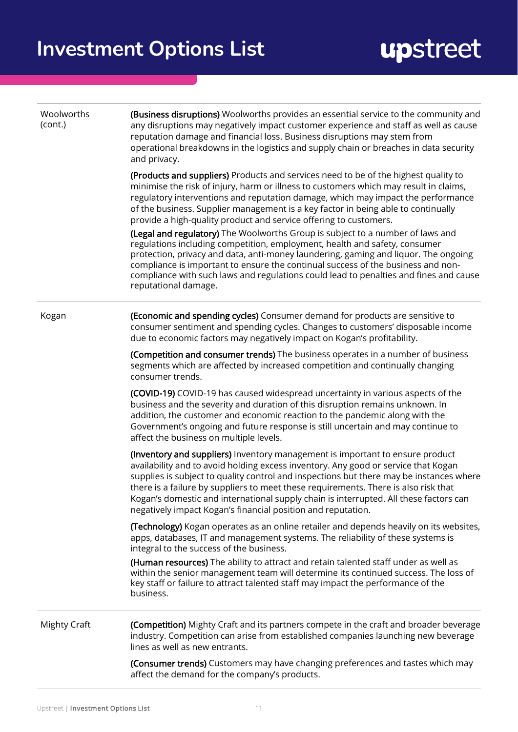| Woolworths<br>(cont.) | (Business disruptions) Woolworths provides an essential service to the community and<br>any disruptions may negatively impact customer experience and staff as well as cause<br>reputation damage and financial loss. Business disruptions may stem from<br>operational breakdowns in the logistics and supply chain or breaches in data security<br>and privacy.                                                                                                                                              |
|-----------------------|----------------------------------------------------------------------------------------------------------------------------------------------------------------------------------------------------------------------------------------------------------------------------------------------------------------------------------------------------------------------------------------------------------------------------------------------------------------------------------------------------------------|
|                       | (Products and suppliers) Products and services need to be of the highest quality to<br>minimise the risk of injury, harm or illness to customers which may result in claims,<br>regulatory interventions and reputation damage, which may impact the performance<br>of the business. Supplier management is a key factor in being able to continually<br>provide a high-quality product and service offering to customers.                                                                                     |
|                       | (Legal and regulatory) The Woolworths Group is subject to a number of laws and<br>regulations including competition, employment, health and safety, consumer<br>protection, privacy and data, anti-money laundering, gaming and liquor. The ongoing<br>compliance is important to ensure the continual success of the business and non-<br>compliance with such laws and regulations could lead to penalties and fines and cause<br>reputational damage.                                                       |
| Kogan                 | (Economic and spending cycles) Consumer demand for products are sensitive to<br>consumer sentiment and spending cycles. Changes to customers' disposable income<br>due to economic factors may negatively impact on Kogan's profitability.                                                                                                                                                                                                                                                                     |
|                       | (Competition and consumer trends) The business operates in a number of business<br>segments which are affected by increased competition and continually changing<br>consumer trends.                                                                                                                                                                                                                                                                                                                           |
|                       | (COVID-19) COVID-19 has caused widespread uncertainty in various aspects of the<br>business and the severity and duration of this disruption remains unknown. In<br>addition, the customer and economic reaction to the pandemic along with the<br>Government's ongoing and future response is still uncertain and may continue to<br>affect the business on multiple levels.                                                                                                                                  |
|                       | (Inventory and suppliers) Inventory management is important to ensure product<br>availability and to avoid holding excess inventory. Any good or service that Kogan<br>supplies is subject to quality control and inspections but there may be instances where<br>there is a failure by suppliers to meet these requirements. There is also risk that<br>Kogan's domestic and international supply chain is interrupted. All these factors can<br>negatively impact Kogan's financial position and reputation. |
|                       | (Technology) Kogan operates as an online retailer and depends heavily on its websites,<br>apps, databases, IT and management systems. The reliability of these systems is<br>integral to the success of the business.                                                                                                                                                                                                                                                                                          |
|                       | (Human resources) The ability to attract and retain talented staff under as well as<br>within the senior management team will determine its continued success. The loss of<br>key staff or failure to attract talented staff may impact the performance of the<br>business.                                                                                                                                                                                                                                    |
| <b>Mighty Craft</b>   | (Competition) Mighty Craft and its partners compete in the craft and broader beverage<br>industry. Competition can arise from established companies launching new beverage<br>lines as well as new entrants.                                                                                                                                                                                                                                                                                                   |
|                       | (Consumer trends) Customers may have changing preferences and tastes which may<br>affect the demand for the company's products.                                                                                                                                                                                                                                                                                                                                                                                |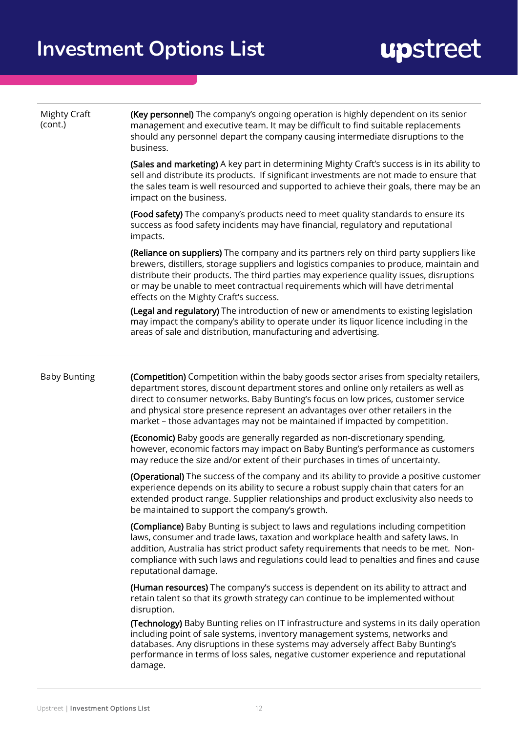| <b>Mighty Craft</b><br>(cont.) | (Key personnel) The company's ongoing operation is highly dependent on its senior<br>management and executive team. It may be difficult to find suitable replacements<br>should any personnel depart the company causing intermediate disruptions to the<br>business.                                                                                                                                                                |
|--------------------------------|--------------------------------------------------------------------------------------------------------------------------------------------------------------------------------------------------------------------------------------------------------------------------------------------------------------------------------------------------------------------------------------------------------------------------------------|
|                                | (Sales and marketing) A key part in determining Mighty Craft's success is in its ability to<br>sell and distribute its products. If significant investments are not made to ensure that<br>the sales team is well resourced and supported to achieve their goals, there may be an<br>impact on the business.                                                                                                                         |
|                                | (Food safety) The company's products need to meet quality standards to ensure its<br>success as food safety incidents may have financial, regulatory and reputational<br>impacts.                                                                                                                                                                                                                                                    |
|                                | (Reliance on suppliers) The company and its partners rely on third party suppliers like<br>brewers, distillers, storage suppliers and logistics companies to produce, maintain and<br>distribute their products. The third parties may experience quality issues, disruptions<br>or may be unable to meet contractual requirements which will have detrimental<br>effects on the Mighty Craft's success.                             |
|                                | (Legal and regulatory) The introduction of new or amendments to existing legislation<br>may impact the company's ability to operate under its liquor licence including in the<br>areas of sale and distribution, manufacturing and advertising.                                                                                                                                                                                      |
| <b>Baby Bunting</b>            | (Competition) Competition within the baby goods sector arises from specialty retailers,<br>department stores, discount department stores and online only retailers as well as<br>direct to consumer networks. Baby Bunting's focus on low prices, customer service<br>and physical store presence represent an advantages over other retailers in the<br>market - those advantages may not be maintained if impacted by competition. |
|                                | (Economic) Baby goods are generally regarded as non-discretionary spending,<br>however, economic factors may impact on Baby Bunting's performance as customers<br>may reduce the size and/or extent of their purchases in times of uncertainty.                                                                                                                                                                                      |
|                                | <b>(Operational)</b> The success of the company and its ability to provide a positive customer<br>experience depends on its ability to secure a robust supply chain that caters for an<br>extended product range. Supplier relationships and product exclusivity also needs to<br>be maintained to support the company's growth.                                                                                                     |
|                                | (Compliance) Baby Bunting is subject to laws and regulations including competition<br>laws, consumer and trade laws, taxation and workplace health and safety laws. In<br>addition, Australia has strict product safety requirements that needs to be met. Non-<br>compliance with such laws and regulations could lead to penalties and fines and cause<br>reputational damage.                                                     |
|                                | (Human resources) The company's success is dependent on its ability to attract and<br>retain talent so that its growth strategy can continue to be implemented without<br>disruption.                                                                                                                                                                                                                                                |
|                                | (Technology) Baby Bunting relies on IT infrastructure and systems in its daily operation<br>including point of sale systems, inventory management systems, networks and<br>databases. Any disruptions in these systems may adversely affect Baby Bunting's<br>performance in terms of loss sales, negative customer experience and reputational<br>damage.                                                                           |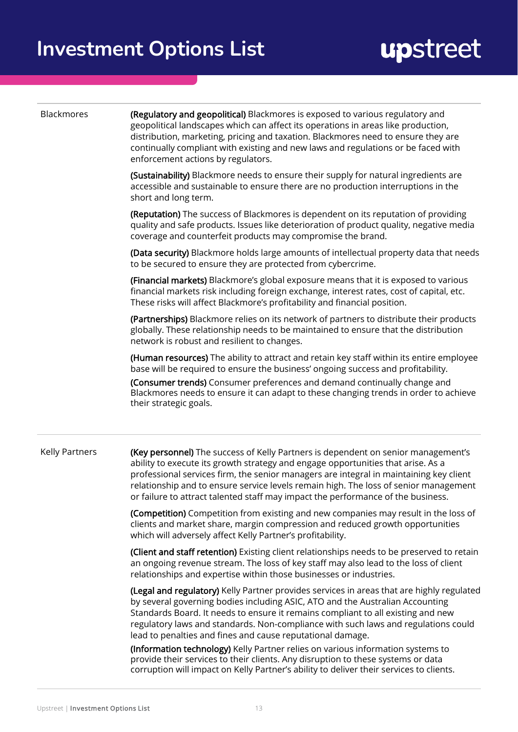| Blackmores            | (Regulatory and geopolitical) Blackmores is exposed to various regulatory and<br>geopolitical landscapes which can affect its operations in areas like production,<br>distribution, marketing, pricing and taxation. Blackmores need to ensure they are<br>continually compliant with existing and new laws and regulations or be faced with<br>enforcement actions by regulators.                                                          |
|-----------------------|---------------------------------------------------------------------------------------------------------------------------------------------------------------------------------------------------------------------------------------------------------------------------------------------------------------------------------------------------------------------------------------------------------------------------------------------|
|                       | (Sustainability) Blackmore needs to ensure their supply for natural ingredients are<br>accessible and sustainable to ensure there are no production interruptions in the<br>short and long term.                                                                                                                                                                                                                                            |
|                       | (Reputation) The success of Blackmores is dependent on its reputation of providing<br>quality and safe products. Issues like deterioration of product quality, negative media<br>coverage and counterfeit products may compromise the brand.                                                                                                                                                                                                |
|                       | (Data security) Blackmore holds large amounts of intellectual property data that needs<br>to be secured to ensure they are protected from cybercrime.                                                                                                                                                                                                                                                                                       |
|                       | (Financial markets) Blackmore's global exposure means that it is exposed to various<br>financial markets risk including foreign exchange, interest rates, cost of capital, etc.<br>These risks will affect Blackmore's profitability and financial position.                                                                                                                                                                                |
|                       | (Partnerships) Blackmore relies on its network of partners to distribute their products<br>globally. These relationship needs to be maintained to ensure that the distribution<br>network is robust and resilient to changes.                                                                                                                                                                                                               |
|                       | (Human resources) The ability to attract and retain key staff within its entire employee<br>base will be required to ensure the business' ongoing success and profitability.<br>(Consumer trends) Consumer preferences and demand continually change and<br>Blackmores needs to ensure it can adapt to these changing trends in order to achieve<br>their strategic goals.                                                                  |
| <b>Kelly Partners</b> | (Key personnel) The success of Kelly Partners is dependent on senior management's<br>ability to execute its growth strategy and engage opportunities that arise. As a<br>professional services firm, the senior managers are integral in maintaining key client<br>relationship and to ensure service levels remain high. The loss of senior management<br>or failure to attract talented staff may impact the performance of the business. |
|                       | (Competition) Competition from existing and new companies may result in the loss of<br>clients and market share, margin compression and reduced growth opportunities<br>which will adversely affect Kelly Partner's profitability.                                                                                                                                                                                                          |
|                       | (Client and staff retention) Existing client relationships needs to be preserved to retain<br>an ongoing revenue stream. The loss of key staff may also lead to the loss of client<br>relationships and expertise within those businesses or industries.                                                                                                                                                                                    |
|                       | (Legal and regulatory) Kelly Partner provides services in areas that are highly regulated<br>by several governing bodies including ASIC, ATO and the Australian Accounting<br>Standards Board. It needs to ensure it remains compliant to all existing and new<br>regulatory laws and standards. Non-compliance with such laws and regulations could<br>lead to penalties and fines and cause reputational damage.                          |
|                       | (Information technology) Kelly Partner relies on various information systems to<br>provide their services to their clients. Any disruption to these systems or data                                                                                                                                                                                                                                                                         |

corruption will impact on Kelly Partner's ability to deliver their services to clients.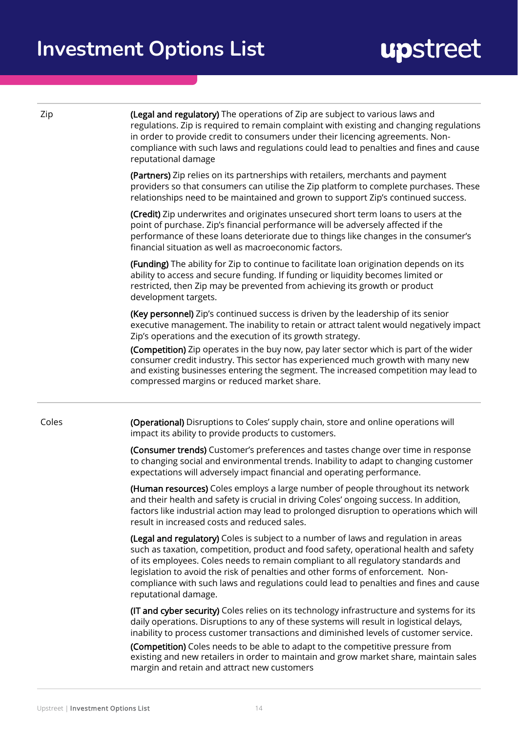| Zip   | (Legal and regulatory) The operations of Zip are subject to various laws and<br>regulations. Zip is required to remain complaint with existing and changing regulations<br>in order to provide credit to consumers under their licencing agreements. Non-<br>compliance with such laws and regulations could lead to penalties and fines and cause<br>reputational damage                                                                                             |
|-------|-----------------------------------------------------------------------------------------------------------------------------------------------------------------------------------------------------------------------------------------------------------------------------------------------------------------------------------------------------------------------------------------------------------------------------------------------------------------------|
|       | (Partners) Zip relies on its partnerships with retailers, merchants and payment<br>providers so that consumers can utilise the Zip platform to complete purchases. These<br>relationships need to be maintained and grown to support Zip's continued success.                                                                                                                                                                                                         |
|       | (Credit) Zip underwrites and originates unsecured short term loans to users at the<br>point of purchase. Zip's financial performance will be adversely affected if the<br>performance of these loans deteriorate due to things like changes in the consumer's<br>financial situation as well as macroeconomic factors.                                                                                                                                                |
|       | (Funding) The ability for Zip to continue to facilitate loan origination depends on its<br>ability to access and secure funding. If funding or liquidity becomes limited or<br>restricted, then Zip may be prevented from achieving its growth or product<br>development targets.                                                                                                                                                                                     |
|       | (Key personnel) Zip's continued success is driven by the leadership of its senior<br>executive management. The inability to retain or attract talent would negatively impact<br>Zip's operations and the execution of its growth strategy.                                                                                                                                                                                                                            |
|       | (Competition) Zip operates in the buy now, pay later sector which is part of the wider<br>consumer credit industry. This sector has experienced much growth with many new<br>and existing businesses entering the segment. The increased competition may lead to<br>compressed margins or reduced market share.                                                                                                                                                       |
| Coles | (Operational) Disruptions to Coles' supply chain, store and online operations will<br>impact its ability to provide products to customers.                                                                                                                                                                                                                                                                                                                            |
|       | (Consumer trends) Customer's preferences and tastes change over time in response<br>to changing social and environmental trends. Inability to adapt to changing customer<br>expectations will adversely impact financial and operating performance.                                                                                                                                                                                                                   |
|       | (Human resources) Coles employs a large number of people throughout its network<br>and their health and safety is crucial in driving Coles' ongoing success. In addition,<br>factors like industrial action may lead to prolonged disruption to operations which will<br>result in increased costs and reduced sales.                                                                                                                                                 |
|       | (Legal and regulatory) Coles is subject to a number of laws and regulation in areas<br>such as taxation, competition, product and food safety, operational health and safety<br>of its employees. Coles needs to remain compliant to all regulatory standards and<br>legislation to avoid the risk of penalties and other forms of enforcement. Non-<br>compliance with such laws and regulations could lead to penalties and fines and cause<br>reputational damage. |
|       | (IT and cyber security) Coles relies on its technology infrastructure and systems for its<br>daily operations. Disruptions to any of these systems will result in logistical delays,<br>inability to process customer transactions and diminished levels of customer service.<br>(Competition) Coles needs to be able to adapt to the competitive pressure from<br>existing and new retailers in order to maintain and grow market share, maintain sales              |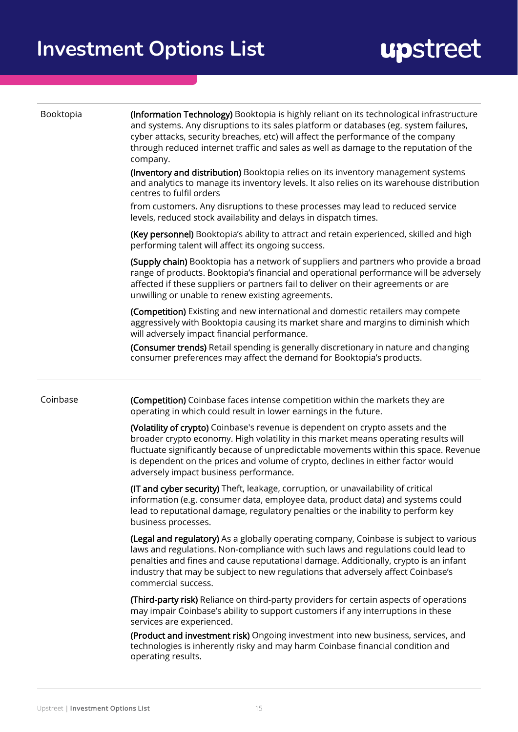| Booktopia | (Information Technology) Booktopia is highly reliant on its technological infrastructure<br>and systems. Any disruptions to its sales platform or databases (eg. system failures,<br>cyber attacks, security breaches, etc) will affect the performance of the company<br>through reduced internet traffic and sales as well as damage to the reputation of the<br>company.                   |
|-----------|-----------------------------------------------------------------------------------------------------------------------------------------------------------------------------------------------------------------------------------------------------------------------------------------------------------------------------------------------------------------------------------------------|
|           | (Inventory and distribution) Booktopia relies on its inventory management systems<br>and analytics to manage its inventory levels. It also relies on its warehouse distribution<br>centres to fulfil orders                                                                                                                                                                                   |
|           | from customers. Any disruptions to these processes may lead to reduced service<br>levels, reduced stock availability and delays in dispatch times.                                                                                                                                                                                                                                            |
|           | (Key personnel) Booktopia's ability to attract and retain experienced, skilled and high<br>performing talent will affect its ongoing success.                                                                                                                                                                                                                                                 |
|           | (Supply chain) Booktopia has a network of suppliers and partners who provide a broad<br>range of products. Booktopia's financial and operational performance will be adversely<br>affected if these suppliers or partners fail to deliver on their agreements or are<br>unwilling or unable to renew existing agreements.                                                                     |
|           | (Competition) Existing and new international and domestic retailers may compete<br>aggressively with Booktopia causing its market share and margins to diminish which<br>will adversely impact financial performance.                                                                                                                                                                         |
|           | (Consumer trends) Retail spending is generally discretionary in nature and changing<br>consumer preferences may affect the demand for Booktopia's products.                                                                                                                                                                                                                                   |
| Coinbase  | (Competition) Coinbase faces intense competition within the markets they are<br>operating in which could result in lower earnings in the future.                                                                                                                                                                                                                                              |
|           | (Volatility of crypto) Coinbase's revenue is dependent on crypto assets and the<br>broader crypto economy. High volatility in this market means operating results will<br>fluctuate significantly because of unpredictable movements within this space. Revenue<br>is dependent on the prices and volume of crypto, declines in either factor would<br>adversely impact business performance. |
|           | (IT and cyber security) Theft, leakage, corruption, or unavailability of critical<br>information (e.g. consumer data, employee data, product data) and systems could<br>lead to reputational damage, regulatory penalties or the inability to perform key<br>business processes.                                                                                                              |
|           | (Legal and regulatory) As a globally operating company, Coinbase is subject to various<br>laws and regulations. Non-compliance with such laws and regulations could lead to<br>penalties and fines and cause reputational damage. Additionally, crypto is an infant<br>industry that may be subject to new regulations that adversely affect Coinbase's<br>commercial success.                |
|           | (Third-party risk) Reliance on third-party providers for certain aspects of operations<br>may impair Coinbase's ability to support customers if any interruptions in these<br>services are experienced.                                                                                                                                                                                       |
|           | (Product and investment risk) Ongoing investment into new business, services, and<br>technologies is inherently risky and may harm Coinbase financial condition and<br>operating results.                                                                                                                                                                                                     |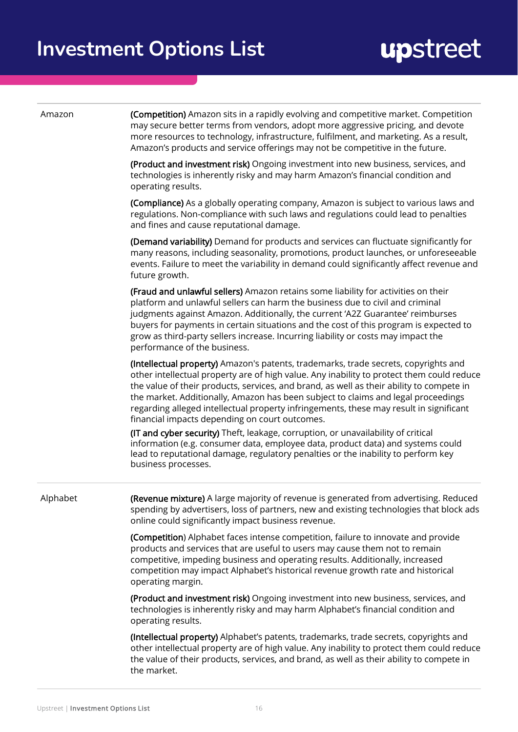| Amazon   | (Competition) Amazon sits in a rapidly evolving and competitive market. Competition<br>may secure better terms from vendors, adopt more aggressive pricing, and devote<br>more resources to technology, infrastructure, fulfilment, and marketing. As a result,<br>Amazon's products and service offerings may not be competitive in the future.                                                                                                                                                              |
|----------|---------------------------------------------------------------------------------------------------------------------------------------------------------------------------------------------------------------------------------------------------------------------------------------------------------------------------------------------------------------------------------------------------------------------------------------------------------------------------------------------------------------|
|          | (Product and investment risk) Ongoing investment into new business, services, and<br>technologies is inherently risky and may harm Amazon's financial condition and<br>operating results.                                                                                                                                                                                                                                                                                                                     |
|          | (Compliance) As a globally operating company, Amazon is subject to various laws and<br>regulations. Non-compliance with such laws and regulations could lead to penalties<br>and fines and cause reputational damage.                                                                                                                                                                                                                                                                                         |
|          | (Demand variability) Demand for products and services can fluctuate significantly for<br>many reasons, including seasonality, promotions, product launches, or unforeseeable<br>events. Failure to meet the variability in demand could significantly affect revenue and<br>future growth.                                                                                                                                                                                                                    |
|          | (Fraud and unlawful sellers) Amazon retains some liability for activities on their<br>platform and unlawful sellers can harm the business due to civil and criminal<br>judgments against Amazon. Additionally, the current 'A2Z Guarantee' reimburses<br>buyers for payments in certain situations and the cost of this program is expected to<br>grow as third-party sellers increase. Incurring liability or costs may impact the<br>performance of the business.                                           |
|          | (Intellectual property) Amazon's patents, trademarks, trade secrets, copyrights and<br>other intellectual property are of high value. Any inability to protect them could reduce<br>the value of their products, services, and brand, as well as their ability to compete in<br>the market. Additionally, Amazon has been subject to claims and legal proceedings<br>regarding alleged intellectual property infringements, these may result in significant<br>financial impacts depending on court outcomes. |
|          | (IT and cyber security) Theft, leakage, corruption, or unavailability of critical<br>information (e.g. consumer data, employee data, product data) and systems could<br>lead to reputational damage, regulatory penalties or the inability to perform key<br>business processes.                                                                                                                                                                                                                              |
| Alphabet | (Revenue mixture) A large majority of revenue is generated from advertising. Reduced<br>spending by advertisers, loss of partners, new and existing technologies that block ads<br>online could significantly impact business revenue.                                                                                                                                                                                                                                                                        |
|          | (Competition) Alphabet faces intense competition, failure to innovate and provide<br>products and services that are useful to users may cause them not to remain<br>competitive, impeding business and operating results. Additionally, increased<br>competition may impact Alphabet's historical revenue growth rate and historical<br>operating margin.                                                                                                                                                     |
|          | (Product and investment risk) Ongoing investment into new business, services, and<br>technologies is inherently risky and may harm Alphabet's financial condition and<br>operating results.                                                                                                                                                                                                                                                                                                                   |
|          |                                                                                                                                                                                                                                                                                                                                                                                                                                                                                                               |

(Intellectual property) Alphabet's patents, trademarks, trade secrets, copyrights and other intellectual property are of high value. Any inability to protect them could reduce the value of their products, services, and brand, as well as their ability to compete in the market.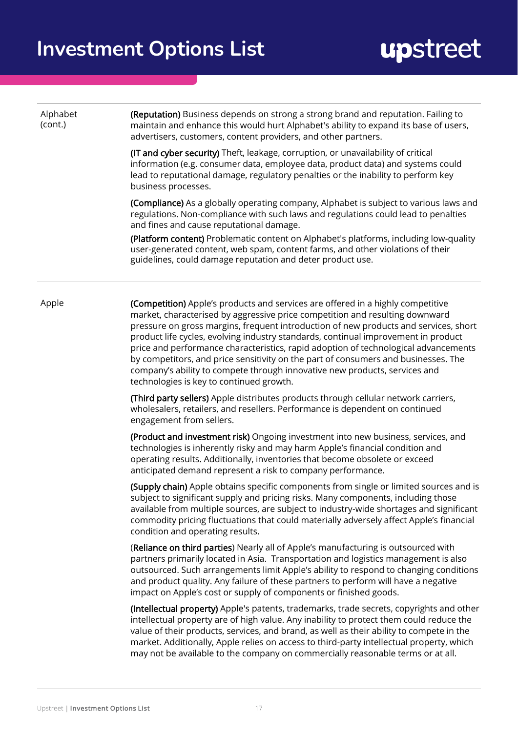| Alphabet<br>(cont.) | (Reputation) Business depends on strong a strong brand and reputation. Failing to<br>maintain and enhance this would hurt Alphabet's ability to expand its base of users,<br>advertisers, customers, content providers, and other partners.                                                                                                                                                                                                                                                                                                                                                                                                          |
|---------------------|------------------------------------------------------------------------------------------------------------------------------------------------------------------------------------------------------------------------------------------------------------------------------------------------------------------------------------------------------------------------------------------------------------------------------------------------------------------------------------------------------------------------------------------------------------------------------------------------------------------------------------------------------|
|                     | (IT and cyber security) Theft, leakage, corruption, or unavailability of critical<br>information (e.g. consumer data, employee data, product data) and systems could<br>lead to reputational damage, regulatory penalties or the inability to perform key<br>business processes.                                                                                                                                                                                                                                                                                                                                                                     |
|                     | (Compliance) As a globally operating company, Alphabet is subject to various laws and<br>regulations. Non-compliance with such laws and regulations could lead to penalties<br>and fines and cause reputational damage.                                                                                                                                                                                                                                                                                                                                                                                                                              |
|                     | (Platform content) Problematic content on Alphabet's platforms, including low-quality<br>user-generated content, web spam, content farms, and other violations of their<br>guidelines, could damage reputation and deter product use.                                                                                                                                                                                                                                                                                                                                                                                                                |
| Apple               | (Competition) Apple's products and services are offered in a highly competitive<br>market, characterised by aggressive price competition and resulting downward<br>pressure on gross margins, frequent introduction of new products and services, short<br>product life cycles, evolving industry standards, continual improvement in product<br>price and performance characteristics, rapid adoption of technological advancements<br>by competitors, and price sensitivity on the part of consumers and businesses. The<br>company's ability to compete through innovative new products, services and<br>technologies is key to continued growth. |
|                     | (Third party sellers) Apple distributes products through cellular network carriers,<br>wholesalers, retailers, and resellers. Performance is dependent on continued<br>engagement from sellers.                                                                                                                                                                                                                                                                                                                                                                                                                                                      |
|                     | (Product and investment risk) Ongoing investment into new business, services, and<br>technologies is inherently risky and may harm Apple's financial condition and<br>operating results. Additionally, inventories that become obsolete or exceed<br>anticipated demand represent a risk to company performance.                                                                                                                                                                                                                                                                                                                                     |
|                     | (Supply chain) Apple obtains specific components from single or limited sources and is<br>subject to significant supply and pricing risks. Many components, including those<br>available from multiple sources, are subject to industry-wide shortages and significant<br>commodity pricing fluctuations that could materially adversely affect Apple's financial<br>condition and operating results.                                                                                                                                                                                                                                                |
|                     | (Reliance on third parties) Nearly all of Apple's manufacturing is outsourced with<br>partners primarily located in Asia. Transportation and logistics management is also<br>outsourced. Such arrangements limit Apple's ability to respond to changing conditions<br>and product quality. Any failure of these partners to perform will have a negative<br>impact on Apple's cost or supply of components or finished goods.                                                                                                                                                                                                                        |
|                     | (Intellectual property) Apple's patents, trademarks, trade secrets, copyrights and other<br>intellectual property are of high value. Any inability to protect them could reduce the<br>value of their products, services, and brand, as well as their ability to compete in the<br>market. Additionally, Apple relies on access to third-party intellectual property, which<br>may not be available to the company on commercially reasonable terms or at all.                                                                                                                                                                                       |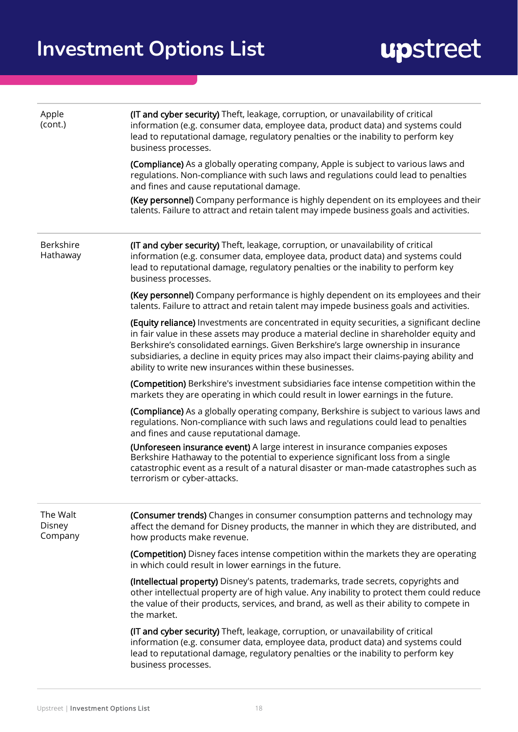| Apple<br>(cont.)              | (IT and cyber security) Theft, leakage, corruption, or unavailability of critical<br>information (e.g. consumer data, employee data, product data) and systems could<br>lead to reputational damage, regulatory penalties or the inability to perform key<br>business processes.                                                                                                                                                  |
|-------------------------------|-----------------------------------------------------------------------------------------------------------------------------------------------------------------------------------------------------------------------------------------------------------------------------------------------------------------------------------------------------------------------------------------------------------------------------------|
|                               | (Compliance) As a globally operating company, Apple is subject to various laws and<br>regulations. Non-compliance with such laws and regulations could lead to penalties<br>and fines and cause reputational damage.                                                                                                                                                                                                              |
|                               | (Key personnel) Company performance is highly dependent on its employees and their<br>talents. Failure to attract and retain talent may impede business goals and activities.                                                                                                                                                                                                                                                     |
| Berkshire<br>Hathaway         | (IT and cyber security) Theft, leakage, corruption, or unavailability of critical<br>information (e.g. consumer data, employee data, product data) and systems could<br>lead to reputational damage, regulatory penalties or the inability to perform key<br>business processes.                                                                                                                                                  |
|                               | (Key personnel) Company performance is highly dependent on its employees and their<br>talents. Failure to attract and retain talent may impede business goals and activities.                                                                                                                                                                                                                                                     |
|                               | (Equity reliance) Investments are concentrated in equity securities, a significant decline<br>in fair value in these assets may produce a material decline in shareholder equity and<br>Berkshire's consolidated earnings. Given Berkshire's large ownership in insurance<br>subsidiaries, a decline in equity prices may also impact their claims-paying ability and<br>ability to write new insurances within these businesses. |
|                               | (Competition) Berkshire's investment subsidiaries face intense competition within the<br>markets they are operating in which could result in lower earnings in the future.                                                                                                                                                                                                                                                        |
|                               | (Compliance) As a globally operating company, Berkshire is subject to various laws and<br>regulations. Non-compliance with such laws and regulations could lead to penalties<br>and fines and cause reputational damage.                                                                                                                                                                                                          |
|                               | (Unforeseen insurance event) A large interest in insurance companies exposes<br>Berkshire Hathaway to the potential to experience significant loss from a single<br>catastrophic event as a result of a natural disaster or man-made catastrophes such as<br>terrorism or cyber-attacks.                                                                                                                                          |
| The Walt<br>Disney<br>Company | (Consumer trends) Changes in consumer consumption patterns and technology may<br>affect the demand for Disney products, the manner in which they are distributed, and<br>how products make revenue.                                                                                                                                                                                                                               |
|                               | (Competition) Disney faces intense competition within the markets they are operating<br>in which could result in lower earnings in the future.                                                                                                                                                                                                                                                                                    |
|                               | (Intellectual property) Disney's patents, trademarks, trade secrets, copyrights and<br>other intellectual property are of high value. Any inability to protect them could reduce<br>the value of their products, services, and brand, as well as their ability to compete in<br>the market.                                                                                                                                       |
|                               | (IT and cyber security) Theft, leakage, corruption, or unavailability of critical<br>information (e.g. consumer data, employee data, product data) and systems could<br>lead to reputational damage, regulatory penalties or the inability to perform key<br>business processes.                                                                                                                                                  |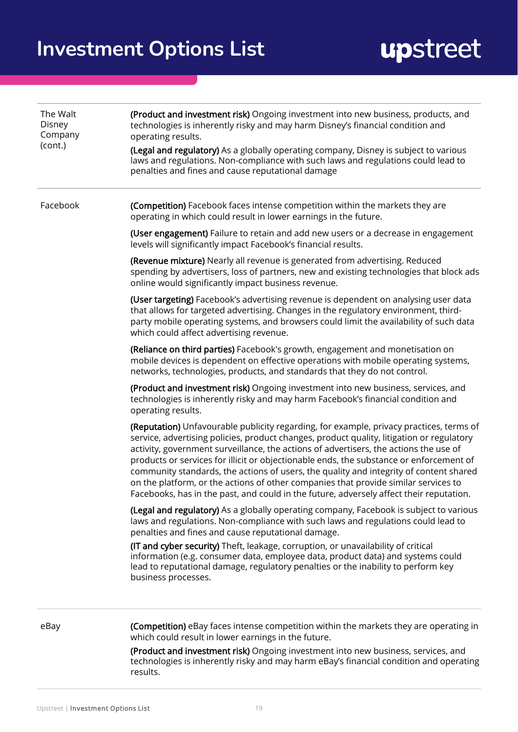| The Walt<br>Disney<br>Company<br>(cont.) | (Product and investment risk) Ongoing investment into new business, products, and<br>technologies is inherently risky and may harm Disney's financial condition and<br>operating results.<br>(Legal and regulatory) As a globally operating company, Disney is subject to various<br>laws and regulations. Non-compliance with such laws and regulations could lead to<br>penalties and fines and cause reputational damage                                                                                                                                                                                                                          |
|------------------------------------------|------------------------------------------------------------------------------------------------------------------------------------------------------------------------------------------------------------------------------------------------------------------------------------------------------------------------------------------------------------------------------------------------------------------------------------------------------------------------------------------------------------------------------------------------------------------------------------------------------------------------------------------------------|
| Facebook                                 | (Competition) Facebook faces intense competition within the markets they are<br>operating in which could result in lower earnings in the future.                                                                                                                                                                                                                                                                                                                                                                                                                                                                                                     |
|                                          | (User engagement) Failure to retain and add new users or a decrease in engagement<br>levels will significantly impact Facebook's financial results.                                                                                                                                                                                                                                                                                                                                                                                                                                                                                                  |
|                                          | (Revenue mixture) Nearly all revenue is generated from advertising. Reduced<br>spending by advertisers, loss of partners, new and existing technologies that block ads<br>online would significantly impact business revenue.                                                                                                                                                                                                                                                                                                                                                                                                                        |
|                                          | (User targeting) Facebook's advertising revenue is dependent on analysing user data<br>that allows for targeted advertising. Changes in the regulatory environment, third-<br>party mobile operating systems, and browsers could limit the availability of such data<br>which could affect advertising revenue.                                                                                                                                                                                                                                                                                                                                      |
|                                          | (Reliance on third parties) Facebook's growth, engagement and monetisation on<br>mobile devices is dependent on effective operations with mobile operating systems,<br>networks, technologies, products, and standards that they do not control.                                                                                                                                                                                                                                                                                                                                                                                                     |
|                                          | (Product and investment risk) Ongoing investment into new business, services, and<br>technologies is inherently risky and may harm Facebook's financial condition and<br>operating results.                                                                                                                                                                                                                                                                                                                                                                                                                                                          |
|                                          | (Reputation) Unfavourable publicity regarding, for example, privacy practices, terms of<br>service, advertising policies, product changes, product quality, litigation or regulatory<br>activity, government surveillance, the actions of advertisers, the actions the use of<br>products or services for illicit or objectionable ends, the substance or enforcement of<br>community standards, the actions of users, the quality and integrity of content shared<br>on the platform, or the actions of other companies that provide similar services to<br>Facebooks, has in the past, and could in the future, adversely affect their reputation. |
|                                          | (Legal and regulatory) As a globally operating company, Facebook is subject to various<br>laws and regulations. Non-compliance with such laws and regulations could lead to<br>penalties and fines and cause reputational damage.                                                                                                                                                                                                                                                                                                                                                                                                                    |
|                                          | (IT and cyber security) Theft, leakage, corruption, or unavailability of critical<br>information (e.g. consumer data, employee data, product data) and systems could<br>lead to reputational damage, regulatory penalties or the inability to perform key<br>business processes.                                                                                                                                                                                                                                                                                                                                                                     |
| eBay                                     | (Competition) eBay faces intense competition within the markets they are operating in<br>which could result in lower earnings in the future.                                                                                                                                                                                                                                                                                                                                                                                                                                                                                                         |
|                                          | (Product and investment risk) Ongoing investment into new business, services, and<br>technologies is inherently risky and may harm eBay's financial condition and operating<br>results.                                                                                                                                                                                                                                                                                                                                                                                                                                                              |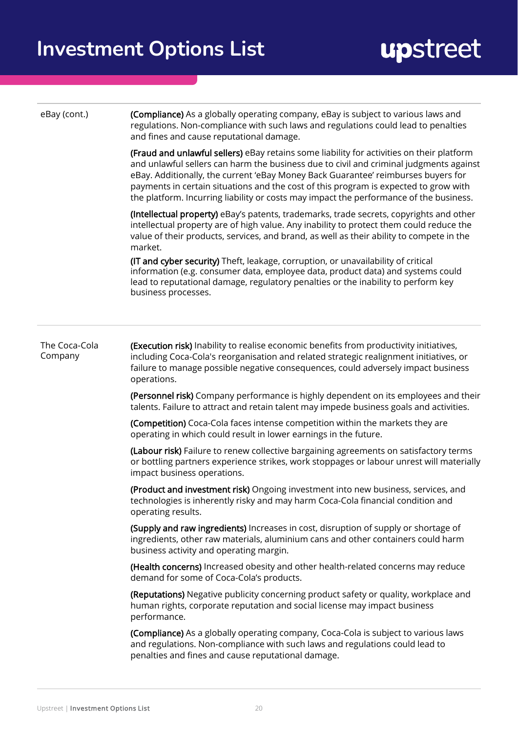eBay (cont.) **(Compliance)** As a globally operating company, eBay is subject to various laws and regulations. Non-compliance with such laws and regulations could lead to penalties and fines and cause reputational damage.

> (Fraud and unlawful sellers) eBay retains some liability for activities on their platform and unlawful sellers can harm the business due to civil and criminal judgments against eBay. Additionally, the current 'eBay Money Back Guarantee' reimburses buyers for payments in certain situations and the cost of this program is expected to grow with the platform. Incurring liability or costs may impact the performance of the business.

(Intellectual property) eBay's patents, trademarks, trade secrets, copyrights and other intellectual property are of high value. Any inability to protect them could reduce the value of their products, services, and brand, as well as their ability to compete in the market.

(IT and cyber security) Theft, leakage, corruption, or unavailability of critical information (e.g. consumer data, employee data, product data) and systems could lead to reputational damage, regulatory penalties or the inability to perform key business processes.

#### The Coca-Cola Company (Execution risk) Inability to realise economic benefits from productivity initiatives, including Coca-Cola's reorganisation and related strategic realignment initiatives, or failure to manage possible negative consequences, could adversely impact business operations.

(Personnel risk) Company performance is highly dependent on its employees and their talents. Failure to attract and retain talent may impede business goals and activities.

(Competition) Coca-Cola faces intense competition within the markets they are operating in which could result in lower earnings in the future.

(Labour risk) Failure to renew collective bargaining agreements on satisfactory terms or bottling partners experience strikes, work stoppages or labour unrest will materially impact business operations.

(Product and investment risk) Ongoing investment into new business, services, and technologies is inherently risky and may harm Coca-Cola financial condition and operating results.

(Supply and raw ingredients) Increases in cost, disruption of supply or shortage of ingredients, other raw materials, aluminium cans and other containers could harm business activity and operating margin.

(Health concerns) Increased obesity and other health-related concerns may reduce demand for some of Coca-Cola's products.

(Reputations) Negative publicity concerning product safety or quality, workplace and human rights, corporate reputation and social license may impact business performance.

(Compliance) As a globally operating company, Coca-Cola is subject to various laws and regulations. Non-compliance with such laws and regulations could lead to penalties and fines and cause reputational damage.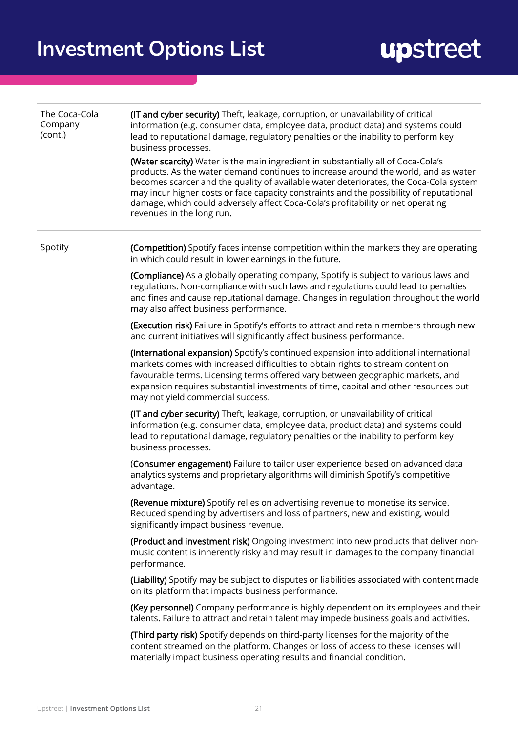| The Coca-Cola<br>Company<br>(cont.) | (IT and cyber security) Theft, leakage, corruption, or unavailability of critical<br>information (e.g. consumer data, employee data, product data) and systems could<br>lead to reputational damage, regulatory penalties or the inability to perform key<br>business processes.<br>(Water scarcity) Water is the main ingredient in substantially all of Coca-Cola's<br>products. As the water demand continues to increase around the world, and as water<br>becomes scarcer and the quality of available water deteriorates, the Coca-Cola system<br>may incur higher costs or face capacity constraints and the possibility of reputational<br>damage, which could adversely affect Coca-Cola's profitability or net operating<br>revenues in the long run. |
|-------------------------------------|-----------------------------------------------------------------------------------------------------------------------------------------------------------------------------------------------------------------------------------------------------------------------------------------------------------------------------------------------------------------------------------------------------------------------------------------------------------------------------------------------------------------------------------------------------------------------------------------------------------------------------------------------------------------------------------------------------------------------------------------------------------------|
| Spotify                             | (Competition) Spotify faces intense competition within the markets they are operating<br>in which could result in lower earnings in the future.                                                                                                                                                                                                                                                                                                                                                                                                                                                                                                                                                                                                                 |
|                                     | (Compliance) As a globally operating company, Spotify is subject to various laws and<br>regulations. Non-compliance with such laws and regulations could lead to penalties<br>and fines and cause reputational damage. Changes in regulation throughout the world<br>may also affect business performance.                                                                                                                                                                                                                                                                                                                                                                                                                                                      |
|                                     | (Execution risk) Failure in Spotify's efforts to attract and retain members through new<br>and current initiatives will significantly affect business performance.                                                                                                                                                                                                                                                                                                                                                                                                                                                                                                                                                                                              |
|                                     | (International expansion) Spotify's continued expansion into additional international<br>markets comes with increased difficulties to obtain rights to stream content on<br>favourable terms. Licensing terms offered vary between geographic markets, and<br>expansion requires substantial investments of time, capital and other resources but<br>may not yield commercial success.                                                                                                                                                                                                                                                                                                                                                                          |
|                                     | (IT and cyber security) Theft, leakage, corruption, or unavailability of critical<br>information (e.g. consumer data, employee data, product data) and systems could<br>lead to reputational damage, regulatory penalties or the inability to perform key<br>business processes.                                                                                                                                                                                                                                                                                                                                                                                                                                                                                |
|                                     | (Consumer engagement) Failure to tailor user experience based on advanced data<br>analytics systems and proprietary algorithms will diminish Spotify's competitive<br>advantage.                                                                                                                                                                                                                                                                                                                                                                                                                                                                                                                                                                                |
|                                     | (Revenue mixture) Spotify relies on advertising revenue to monetise its service.<br>Reduced spending by advertisers and loss of partners, new and existing, would<br>significantly impact business revenue.                                                                                                                                                                                                                                                                                                                                                                                                                                                                                                                                                     |
|                                     | (Product and investment risk) Ongoing investment into new products that deliver non-<br>music content is inherently risky and may result in damages to the company financial<br>performance.                                                                                                                                                                                                                                                                                                                                                                                                                                                                                                                                                                    |
|                                     | (Liability) Spotify may be subject to disputes or liabilities associated with content made<br>on its platform that impacts business performance.                                                                                                                                                                                                                                                                                                                                                                                                                                                                                                                                                                                                                |
|                                     | (Key personnel) Company performance is highly dependent on its employees and their<br>talents. Failure to attract and retain talent may impede business goals and activities.                                                                                                                                                                                                                                                                                                                                                                                                                                                                                                                                                                                   |
|                                     | (Third party risk) Spotify depends on third-party licenses for the majority of the<br>content streamed on the platform. Changes or loss of access to these licenses will<br>materially impact business operating results and financial condition.                                                                                                                                                                                                                                                                                                                                                                                                                                                                                                               |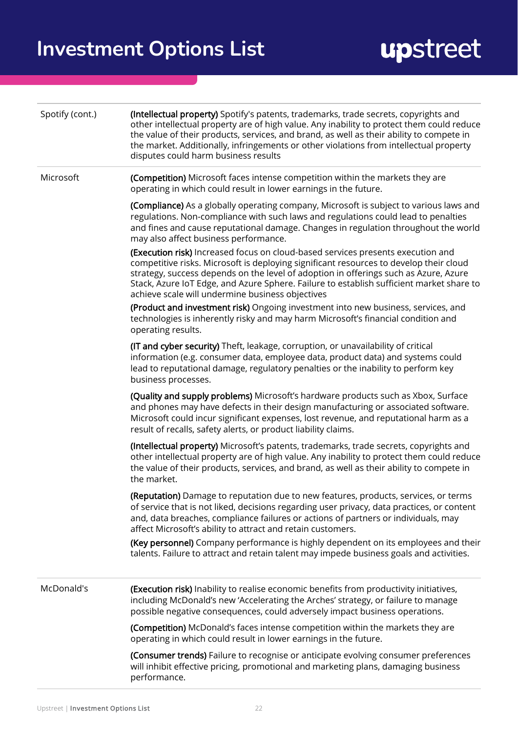| Spotify (cont.) | (Intellectual property) Spotify's patents, trademarks, trade secrets, copyrights and<br>other intellectual property are of high value. Any inability to protect them could reduce<br>the value of their products, services, and brand, as well as their ability to compete in<br>the market. Additionally, infringements or other violations from intellectual property<br>disputes could harm business results   |
|-----------------|-------------------------------------------------------------------------------------------------------------------------------------------------------------------------------------------------------------------------------------------------------------------------------------------------------------------------------------------------------------------------------------------------------------------|
| Microsoft       | (Competition) Microsoft faces intense competition within the markets they are<br>operating in which could result in lower earnings in the future.                                                                                                                                                                                                                                                                 |
|                 | (Compliance) As a globally operating company, Microsoft is subject to various laws and<br>regulations. Non-compliance with such laws and regulations could lead to penalties<br>and fines and cause reputational damage. Changes in regulation throughout the world<br>may also affect business performance.                                                                                                      |
|                 | (Execution risk) Increased focus on cloud-based services presents execution and<br>competitive risks. Microsoft is deploying significant resources to develop their cloud<br>strategy, success depends on the level of adoption in offerings such as Azure, Azure<br>Stack, Azure IoT Edge, and Azure Sphere. Failure to establish sufficient market share to<br>achieve scale will undermine business objectives |
|                 | (Product and investment risk) Ongoing investment into new business, services, and<br>technologies is inherently risky and may harm Microsoft's financial condition and<br>operating results.                                                                                                                                                                                                                      |
|                 | (IT and cyber security) Theft, leakage, corruption, or unavailability of critical<br>information (e.g. consumer data, employee data, product data) and systems could<br>lead to reputational damage, regulatory penalties or the inability to perform key<br>business processes.                                                                                                                                  |
|                 | (Quality and supply problems) Microsoft's hardware products such as Xbox, Surface<br>and phones may have defects in their design manufacturing or associated software.<br>Microsoft could incur significant expenses, lost revenue, and reputational harm as a<br>result of recalls, safety alerts, or product liability claims.                                                                                  |
|                 | (Intellectual property) Microsoft's patents, trademarks, trade secrets, copyrights and<br>other intellectual property are of high value. Any inability to protect them could reduce<br>the value of their products, services, and brand, as well as their ability to compete in<br>the market.                                                                                                                    |
|                 | (Reputation) Damage to reputation due to new features, products, services, or terms<br>of service that is not liked, decisions regarding user privacy, data practices, or content<br>and, data breaches, compliance failures or actions of partners or individuals, may<br>affect Microsoft's ability to attract and retain customers.                                                                            |
|                 | (Key personnel) Company performance is highly dependent on its employees and their<br>talents. Failure to attract and retain talent may impede business goals and activities.                                                                                                                                                                                                                                     |
| McDonald's      | (Execution risk) Inability to realise economic benefits from productivity initiatives,<br>including McDonald's new 'Accelerating the Arches' strategy, or failure to manage<br>possible negative consequences, could adversely impact business operations.                                                                                                                                                        |
|                 | (Competition) McDonald's faces intense competition within the markets they are<br>operating in which could result in lower earnings in the future.                                                                                                                                                                                                                                                                |
|                 | (Consumer trends) Failure to recognise or anticipate evolving consumer preferences<br>will inhibit effective pricing, promotional and marketing plans, damaging business<br>performance.                                                                                                                                                                                                                          |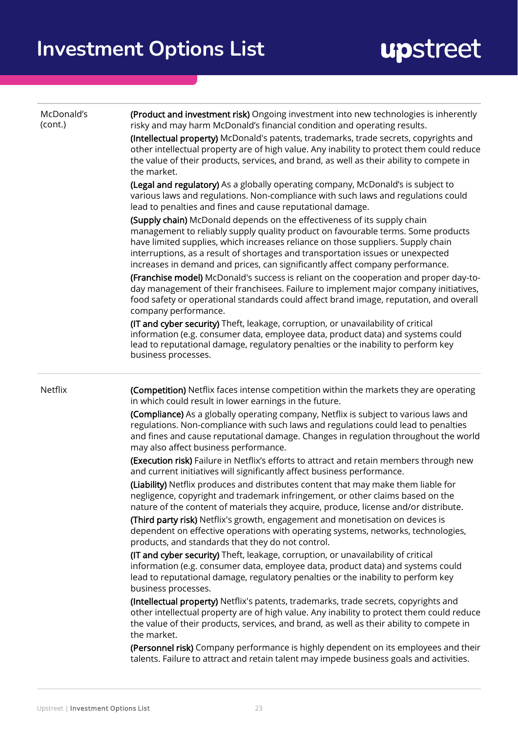| McDonald's<br>(cont.) | (Product and investment risk) Ongoing investment into new technologies is inherently<br>risky and may harm McDonald's financial condition and operating results.<br>(Intellectual property) McDonald's patents, trademarks, trade secrets, copyrights and<br>other intellectual property are of high value. Any inability to protect them could reduce<br>the value of their products, services, and brand, as well as their ability to compete in<br>the market.                                                                                                                                                                                                                               |
|-----------------------|-------------------------------------------------------------------------------------------------------------------------------------------------------------------------------------------------------------------------------------------------------------------------------------------------------------------------------------------------------------------------------------------------------------------------------------------------------------------------------------------------------------------------------------------------------------------------------------------------------------------------------------------------------------------------------------------------|
|                       | (Legal and regulatory) As a globally operating company, McDonald's is subject to<br>various laws and regulations. Non-compliance with such laws and regulations could<br>lead to penalties and fines and cause reputational damage.                                                                                                                                                                                                                                                                                                                                                                                                                                                             |
|                       | (Supply chain) McDonald depends on the effectiveness of its supply chain<br>management to reliably supply quality product on favourable terms. Some products<br>have limited supplies, which increases reliance on those suppliers. Supply chain<br>interruptions, as a result of shortages and transportation issues or unexpected<br>increases in demand and prices, can significantly affect company performance.<br>(Franchise model) McDonald's success is reliant on the cooperation and proper day-to-<br>day management of their franchisees. Failure to implement major company initiatives,<br>food safety or operational standards could affect brand image, reputation, and overall |
|                       | company performance.<br>(IT and cyber security) Theft, leakage, corruption, or unavailability of critical<br>information (e.g. consumer data, employee data, product data) and systems could<br>lead to reputational damage, regulatory penalties or the inability to perform key<br>business processes.                                                                                                                                                                                                                                                                                                                                                                                        |
| Netflix               | (Competition) Netflix faces intense competition within the markets they are operating<br>in which could result in lower earnings in the future.                                                                                                                                                                                                                                                                                                                                                                                                                                                                                                                                                 |
|                       | (Compliance) As a globally operating company, Netflix is subject to various laws and<br>regulations. Non-compliance with such laws and regulations could lead to penalties<br>and fines and cause reputational damage. Changes in regulation throughout the world<br>may also affect business performance.                                                                                                                                                                                                                                                                                                                                                                                      |
|                       | (Execution risk) Failure in Netflix's efforts to attract and retain members through new<br>and current initiatives will significantly affect business performance.                                                                                                                                                                                                                                                                                                                                                                                                                                                                                                                              |
|                       | (Liability) Netflix produces and distributes content that may make them liable for<br>negligence, copyright and trademark infringement, or other claims based on the<br>nature of the content of materials they acquire, produce, license and/or distribute.                                                                                                                                                                                                                                                                                                                                                                                                                                    |
|                       | (Third party risk) Netflix's growth, engagement and monetisation on devices is<br>dependent on effective operations with operating systems, networks, technologies,<br>products, and standards that they do not control.                                                                                                                                                                                                                                                                                                                                                                                                                                                                        |
|                       | (IT and cyber security) Theft, leakage, corruption, or unavailability of critical<br>information (e.g. consumer data, employee data, product data) and systems could<br>lead to reputational damage, regulatory penalties or the inability to perform key<br>business processes.                                                                                                                                                                                                                                                                                                                                                                                                                |
|                       | (Intellectual property) Netflix's patents, trademarks, trade secrets, copyrights and<br>other intellectual property are of high value. Any inability to protect them could reduce<br>the value of their products, services, and brand, as well as their ability to compete in<br>the market.                                                                                                                                                                                                                                                                                                                                                                                                    |
|                       | (Personnel risk) Company performance is highly dependent on its employees and their<br>talents. Failure to attract and retain talent may impede business goals and activities.                                                                                                                                                                                                                                                                                                                                                                                                                                                                                                                  |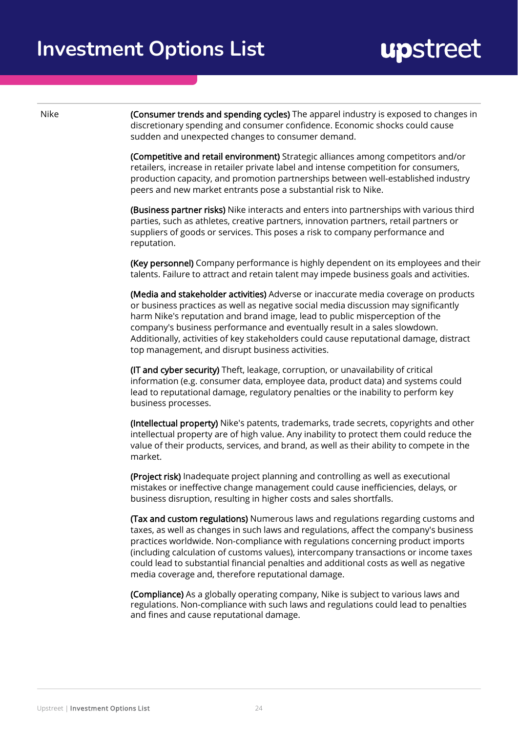Nike **(Consumer trends and spending cycles)** The apparel industry is exposed to changes in discretionary spending and consumer confidence. Economic shocks could cause sudden and unexpected changes to consumer demand.

> (Competitive and retail environment) Strategic alliances among competitors and/or retailers, increase in retailer private label and intense competition for consumers, production capacity, and promotion partnerships between well-established industry peers and new market entrants pose a substantial risk to Nike.

(Business partner risks) Nike interacts and enters into partnerships with various third parties, such as athletes, creative partners, innovation partners, retail partners or suppliers of goods or services. This poses a risk to company performance and reputation.

(Key personnel) Company performance is highly dependent on its employees and their talents. Failure to attract and retain talent may impede business goals and activities.

(Media and stakeholder activities) Adverse or inaccurate media coverage on products or business practices as well as negative social media discussion may significantly harm Nike's reputation and brand image, lead to public misperception of the company's business performance and eventually result in a sales slowdown. Additionally, activities of key stakeholders could cause reputational damage, distract top management, and disrupt business activities.

(IT and cyber security) Theft, leakage, corruption, or unavailability of critical information (e.g. consumer data, employee data, product data) and systems could lead to reputational damage, regulatory penalties or the inability to perform key business processes.

(Intellectual property) Nike's patents, trademarks, trade secrets, copyrights and other intellectual property are of high value. Any inability to protect them could reduce the value of their products, services, and brand, as well as their ability to compete in the market.

(Project risk) Inadequate project planning and controlling as well as executional mistakes or ineffective change management could cause inefficiencies, delays, or business disruption, resulting in higher costs and sales shortfalls.

(Tax and custom regulations) Numerous laws and regulations regarding customs and taxes, as well as changes in such laws and regulations, affect the company's business practices worldwide. Non-compliance with regulations concerning product imports (including calculation of customs values), intercompany transactions or income taxes could lead to substantial financial penalties and additional costs as well as negative media coverage and, therefore reputational damage.

(Compliance) As a globally operating company, Nike is subject to various laws and regulations. Non-compliance with such laws and regulations could lead to penalties and fines and cause reputational damage.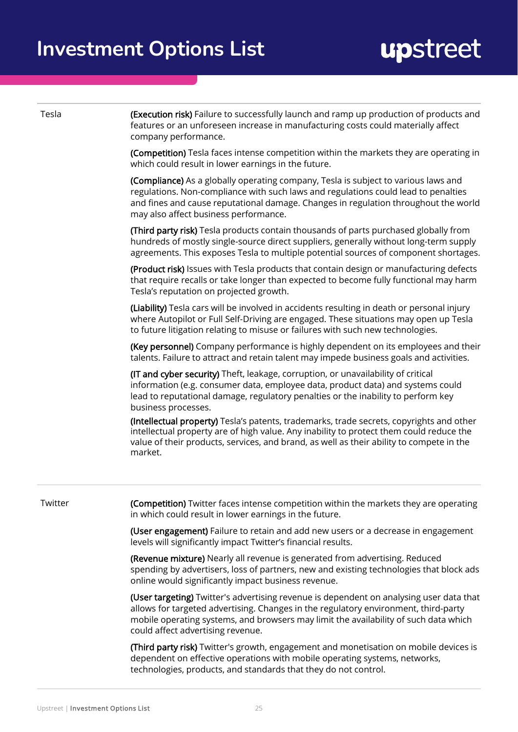**(Execution risk)** Failure to successfully launch and ramp up production of products and features or an unforeseen increase in manufacturing costs could materially affect company performance.

(Competition) Tesla faces intense competition within the markets they are operating in which could result in lower earnings in the future.

(Compliance) As a globally operating company, Tesla is subject to various laws and regulations. Non-compliance with such laws and regulations could lead to penalties and fines and cause reputational damage. Changes in regulation throughout the world may also affect business performance.

(Third party risk) Tesla products contain thousands of parts purchased globally from hundreds of mostly single-source direct suppliers, generally without long-term supply agreements. This exposes Tesla to multiple potential sources of component shortages.

(Product risk) Issues with Tesla products that contain design or manufacturing defects that require recalls or take longer than expected to become fully functional may harm Tesla's reputation on projected growth.

(Liability) Tesla cars will be involved in accidents resulting in death or personal injury where Autopilot or Full Self-Driving are engaged. These situations may open up Tesla to future litigation relating to misuse or failures with such new technologies.

(Key personnel) Company performance is highly dependent on its employees and their talents. Failure to attract and retain talent may impede business goals and activities.

(IT and cyber security) Theft, leakage, corruption, or unavailability of critical information (e.g. consumer data, employee data, product data) and systems could lead to reputational damage, regulatory penalties or the inability to perform key business processes.

(Intellectual property) Tesla's patents, trademarks, trade secrets, copyrights and other intellectual property are of high value. Any inability to protect them could reduce the value of their products, services, and brand, as well as their ability to compete in the market.

| Twitter | (Competition) Twitter faces intense competition within the markets they are operating<br>in which could result in lower earnings in the future.                                                                                                                                                             |
|---------|-------------------------------------------------------------------------------------------------------------------------------------------------------------------------------------------------------------------------------------------------------------------------------------------------------------|
|         | (User engagement) Failure to retain and add new users or a decrease in engagement<br>levels will significantly impact Twitter's financial results.                                                                                                                                                          |
|         | <b>(Revenue mixture)</b> Nearly all revenue is generated from advertising. Reduced<br>spending by advertisers, loss of partners, new and existing technologies that block ads<br>online would significantly impact business revenue.                                                                        |
|         | (User targeting) Twitter's advertising revenue is dependent on analysing user data that<br>allows for targeted advertising. Changes in the regulatory environment, third-party<br>mobile operating systems, and browsers may limit the availability of such data which<br>could affect advertising revenue. |
|         | <b>(Third party risk)</b> Twitter's growth, engagement and monetisation on mobile devices is                                                                                                                                                                                                                |

**(Third party risk)** Twitter's growth, engagement and monetisation on mobile devices is dependent on effective operations with mobile operating systems, networks, technologies, products, and standards that they do not control.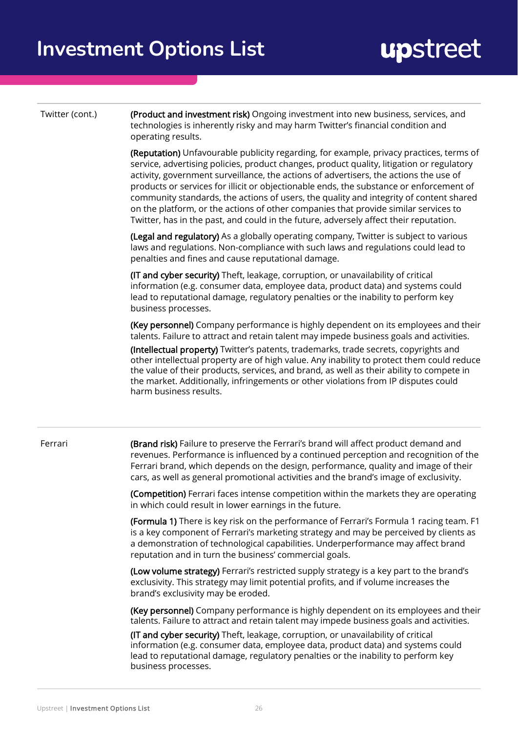Twitter (cont.)

(Product and investment risk) Ongoing investment into new business, services, and technologies is inherently risky and may harm Twitter's financial condition and operating results.

(Reputation) Unfavourable publicity regarding, for example, privacy practices, terms of service, advertising policies, product changes, product quality, litigation or regulatory activity, government surveillance, the actions of advertisers, the actions the use of products or services for illicit or objectionable ends, the substance or enforcement of community standards, the actions of users, the quality and integrity of content shared on the platform, or the actions of other companies that provide similar services to Twitter, has in the past, and could in the future, adversely affect their reputation.

(Legal and regulatory) As a globally operating company, Twitter is subject to various laws and regulations. Non-compliance with such laws and regulations could lead to penalties and fines and cause reputational damage.

(IT and cyber security) Theft, leakage, corruption, or unavailability of critical information (e.g. consumer data, employee data, product data) and systems could lead to reputational damage, regulatory penalties or the inability to perform key business processes.

(Key personnel) Company performance is highly dependent on its employees and their talents. Failure to attract and retain talent may impede business goals and activities.

(Intellectual property) Twitter's patents, trademarks, trade secrets, copyrights and other intellectual property are of high value. Any inability to protect them could reduce the value of their products, services, and brand, as well as their ability to compete in the market. Additionally, infringements or other violations from IP disputes could harm business results.

Ferrari

(Brand risk) Failure to preserve the Ferrari's brand will affect product demand and revenues. Performance is influenced by a continued perception and recognition of the Ferrari brand, which depends on the design, performance, quality and image of their cars, as well as general promotional activities and the brand's image of exclusivity.

(Competition) Ferrari faces intense competition within the markets they are operating in which could result in lower earnings in the future.

(Formula 1) There is key risk on the performance of Ferrari's Formula 1 racing team. F1 is a key component of Ferrari's marketing strategy and may be perceived by clients as a demonstration of technological capabilities. Underperformance may affect brand reputation and in turn the business' commercial goals.

(Low volume strategy) Ferrari's restricted supply strategy is a key part to the brand's exclusivity. This strategy may limit potential profits, and if volume increases the brand's exclusivity may be eroded.

(Key personnel) Company performance is highly dependent on its employees and their talents. Failure to attract and retain talent may impede business goals and activities.

(IT and cyber security) Theft, leakage, corruption, or unavailability of critical information (e.g. consumer data, employee data, product data) and systems could lead to reputational damage, regulatory penalties or the inability to perform key business processes.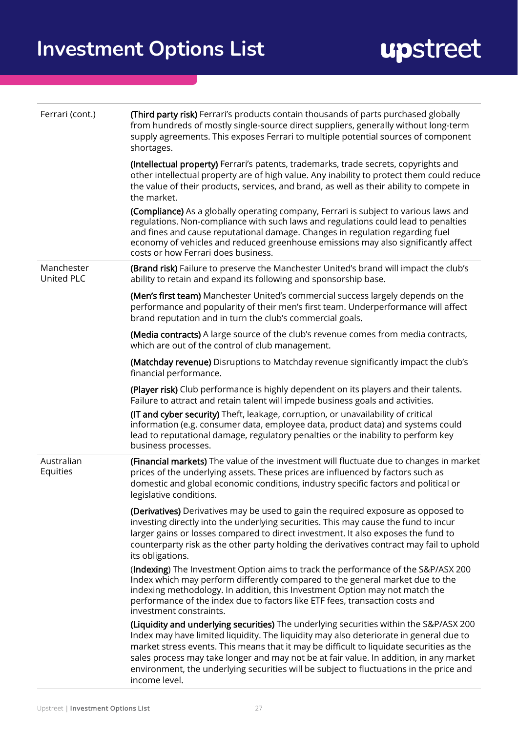| Ferrari (cont.)          | (Third party risk) Ferrari's products contain thousands of parts purchased globally<br>from hundreds of mostly single-source direct suppliers, generally without long-term<br>supply agreements. This exposes Ferrari to multiple potential sources of component<br>shortages.                                                                                                                                                                                                     |
|--------------------------|------------------------------------------------------------------------------------------------------------------------------------------------------------------------------------------------------------------------------------------------------------------------------------------------------------------------------------------------------------------------------------------------------------------------------------------------------------------------------------|
|                          | (Intellectual property) Ferrari's patents, trademarks, trade secrets, copyrights and<br>other intellectual property are of high value. Any inability to protect them could reduce<br>the value of their products, services, and brand, as well as their ability to compete in<br>the market.                                                                                                                                                                                       |
|                          | (Compliance) As a globally operating company, Ferrari is subject to various laws and<br>regulations. Non-compliance with such laws and regulations could lead to penalties<br>and fines and cause reputational damage. Changes in regulation regarding fuel<br>economy of vehicles and reduced greenhouse emissions may also significantly affect<br>costs or how Ferrari does business.                                                                                           |
| Manchester<br>United PLC | (Brand risk) Failure to preserve the Manchester United's brand will impact the club's<br>ability to retain and expand its following and sponsorship base.                                                                                                                                                                                                                                                                                                                          |
|                          | (Men's first team) Manchester United's commercial success largely depends on the<br>performance and popularity of their men's first team. Underperformance will affect<br>brand reputation and in turn the club's commercial goals.                                                                                                                                                                                                                                                |
|                          | (Media contracts) A large source of the club's revenue comes from media contracts,<br>which are out of the control of club management.                                                                                                                                                                                                                                                                                                                                             |
|                          | (Matchday revenue) Disruptions to Matchday revenue significantly impact the club's<br>financial performance.                                                                                                                                                                                                                                                                                                                                                                       |
|                          | (Player risk) Club performance is highly dependent on its players and their talents.<br>Failure to attract and retain talent will impede business goals and activities.                                                                                                                                                                                                                                                                                                            |
|                          | (IT and cyber security) Theft, leakage, corruption, or unavailability of critical<br>information (e.g. consumer data, employee data, product data) and systems could<br>lead to reputational damage, regulatory penalties or the inability to perform key<br>business processes.                                                                                                                                                                                                   |
| Australian<br>Equities   | (Financial markets) The value of the investment will fluctuate due to changes in market<br>prices of the underlying assets. These prices are influenced by factors such as<br>domestic and global economic conditions, industry specific factors and political or<br>legislative conditions.                                                                                                                                                                                       |
|                          | (Derivatives) Derivatives may be used to gain the required exposure as opposed to<br>investing directly into the underlying securities. This may cause the fund to incur<br>larger gains or losses compared to direct investment. It also exposes the fund to<br>counterparty risk as the other party holding the derivatives contract may fail to uphold<br>its obligations.                                                                                                      |
|                          | (Indexing) The Investment Option aims to track the performance of the S&P/ASX 200<br>Index which may perform differently compared to the general market due to the<br>indexing methodology. In addition, this Investment Option may not match the<br>performance of the index due to factors like ETF fees, transaction costs and<br>investment constraints.                                                                                                                       |
|                          | (Liquidity and underlying securities) The underlying securities within the S&P/ASX 200<br>Index may have limited liquidity. The liquidity may also deteriorate in general due to<br>market stress events. This means that it may be difficult to liquidate securities as the<br>sales process may take longer and may not be at fair value. In addition, in any market<br>environment, the underlying securities will be subject to fluctuations in the price and<br>income level. |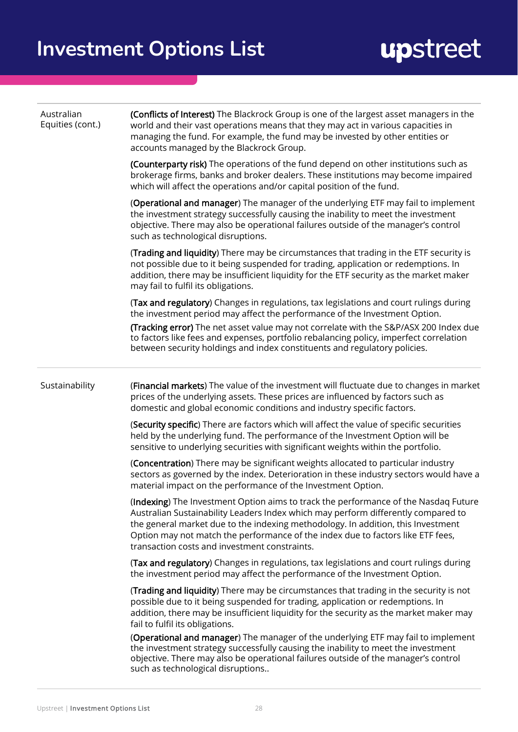| Australian<br>Equities (cont.) | (Conflicts of Interest) The Blackrock Group is one of the largest asset managers in the<br>world and their vast operations means that they may act in various capacities in<br>managing the fund. For example, the fund may be invested by other entities or<br>accounts managed by the Blackrock Group.                                                                                         |  |  |
|--------------------------------|--------------------------------------------------------------------------------------------------------------------------------------------------------------------------------------------------------------------------------------------------------------------------------------------------------------------------------------------------------------------------------------------------|--|--|
|                                | (Counterparty risk) The operations of the fund depend on other institutions such as<br>brokerage firms, banks and broker dealers. These institutions may become impaired<br>which will affect the operations and/or capital position of the fund.                                                                                                                                                |  |  |
|                                | (Operational and manager) The manager of the underlying ETF may fail to implement<br>the investment strategy successfully causing the inability to meet the investment<br>objective. There may also be operational failures outside of the manager's control<br>such as technological disruptions.                                                                                               |  |  |
|                                | (Trading and liquidity) There may be circumstances that trading in the ETF security is<br>not possible due to it being suspended for trading, application or redemptions. In<br>addition, there may be insufficient liquidity for the ETF security as the market maker<br>may fail to fulfil its obligations.                                                                                    |  |  |
|                                | (Tax and regulatory) Changes in regulations, tax legislations and court rulings during<br>the investment period may affect the performance of the Investment Option.                                                                                                                                                                                                                             |  |  |
|                                | (Tracking error) The net asset value may not correlate with the S&P/ASX 200 Index due<br>to factors like fees and expenses, portfolio rebalancing policy, imperfect correlation<br>between security holdings and index constituents and regulatory policies.                                                                                                                                     |  |  |
| Sustainability                 | (Financial markets) The value of the investment will fluctuate due to changes in market<br>prices of the underlying assets. These prices are influenced by factors such as<br>domestic and global economic conditions and industry specific factors.                                                                                                                                             |  |  |
|                                | (Security specific) There are factors which will affect the value of specific securities<br>held by the underlying fund. The performance of the Investment Option will be<br>sensitive to underlying securities with significant weights within the portfolio.                                                                                                                                   |  |  |
|                                | (Concentration) There may be significant weights allocated to particular industry<br>sectors as governed by the index. Deterioration in these industry sectors would have a<br>material impact on the performance of the Investment Option.                                                                                                                                                      |  |  |
|                                | (Indexing) The Investment Option aims to track the performance of the Nasdaq Future<br>Australian Sustainability Leaders Index which may perform differently compared to<br>the general market due to the indexing methodology. In addition, this Investment<br>Option may not match the performance of the index due to factors like ETF fees,<br>transaction costs and investment constraints. |  |  |
|                                | (Tax and regulatory) Changes in regulations, tax legislations and court rulings during<br>the investment period may affect the performance of the Investment Option.                                                                                                                                                                                                                             |  |  |
|                                | (Trading and liquidity) There may be circumstances that trading in the security is not<br>possible due to it being suspended for trading, application or redemptions. In<br>addition, there may be insufficient liquidity for the security as the market maker may<br>fail to fulfil its obligations.                                                                                            |  |  |
|                                | (Operational and manager) The manager of the underlying ETF may fail to implement<br>the investment strategy successfully causing the inability to meet the investment<br>objective. There may also be operational failures outside of the manager's control<br>such as technological disruptions                                                                                                |  |  |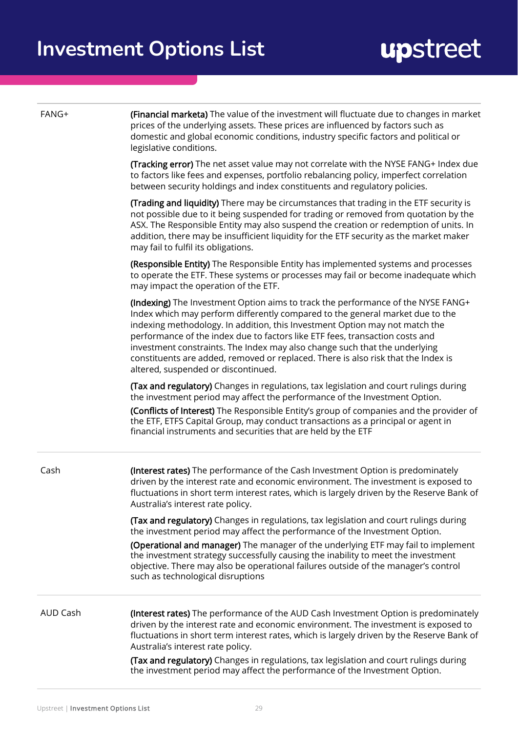| FANG+           | (Financial marketa) The value of the investment will fluctuate due to changes in market<br>prices of the underlying assets. These prices are influenced by factors such as<br>domestic and global economic conditions, industry specific factors and political or<br>legislative conditions.                                                                                                                                                                                                                                               |  |  |
|-----------------|--------------------------------------------------------------------------------------------------------------------------------------------------------------------------------------------------------------------------------------------------------------------------------------------------------------------------------------------------------------------------------------------------------------------------------------------------------------------------------------------------------------------------------------------|--|--|
|                 | <b>(Tracking error)</b> The net asset value may not correlate with the NYSE FANG+ Index due<br>to factors like fees and expenses, portfolio rebalancing policy, imperfect correlation<br>between security holdings and index constituents and regulatory policies.                                                                                                                                                                                                                                                                         |  |  |
|                 | (Trading and liquidity) There may be circumstances that trading in the ETF security is<br>not possible due to it being suspended for trading or removed from quotation by the<br>ASX. The Responsible Entity may also suspend the creation or redemption of units. In<br>addition, there may be insufficient liquidity for the ETF security as the market maker<br>may fail to fulfil its obligations.                                                                                                                                     |  |  |
|                 | (Responsible Entity) The Responsible Entity has implemented systems and processes<br>to operate the ETF. These systems or processes may fail or become inadequate which<br>may impact the operation of the ETF.                                                                                                                                                                                                                                                                                                                            |  |  |
|                 | (Indexing) The Investment Option aims to track the performance of the NYSE FANG+<br>Index which may perform differently compared to the general market due to the<br>indexing methodology. In addition, this Investment Option may not match the<br>performance of the index due to factors like ETF fees, transaction costs and<br>investment constraints. The Index may also change such that the underlying<br>constituents are added, removed or replaced. There is also risk that the Index is<br>altered, suspended or discontinued. |  |  |
|                 | (Tax and regulatory) Changes in regulations, tax legislation and court rulings during<br>the investment period may affect the performance of the Investment Option.                                                                                                                                                                                                                                                                                                                                                                        |  |  |
|                 | (Conflicts of Interest) The Responsible Entity's group of companies and the provider of<br>the ETF, ETFS Capital Group, may conduct transactions as a principal or agent in<br>financial instruments and securities that are held by the ETF                                                                                                                                                                                                                                                                                               |  |  |
| Cash            | (Interest rates) The performance of the Cash Investment Option is predominately<br>driven by the interest rate and economic environment. The investment is exposed to<br>fluctuations in short term interest rates, which is largely driven by the Reserve Bank of<br>Australia's interest rate policy.                                                                                                                                                                                                                                    |  |  |
|                 | (Tax and regulatory) Changes in regulations, tax legislation and court rulings during<br>the investment period may affect the performance of the Investment Option.                                                                                                                                                                                                                                                                                                                                                                        |  |  |
|                 | (Operational and manager) The manager of the underlying ETF may fail to implement<br>the investment strategy successfully causing the inability to meet the investment<br>objective. There may also be operational failures outside of the manager's control<br>such as technological disruptions                                                                                                                                                                                                                                          |  |  |
| <b>AUD Cash</b> | (Interest rates) The performance of the AUD Cash Investment Option is predominately<br>driven by the interest rate and economic environment. The investment is exposed to<br>fluctuations in short term interest rates, which is largely driven by the Reserve Bank of<br>Australia's interest rate policy.                                                                                                                                                                                                                                |  |  |
|                 | (Tax and regulatory) Changes in regulations, tax legislation and court rulings during<br>the investment period may affect the performance of the Investment Option.                                                                                                                                                                                                                                                                                                                                                                        |  |  |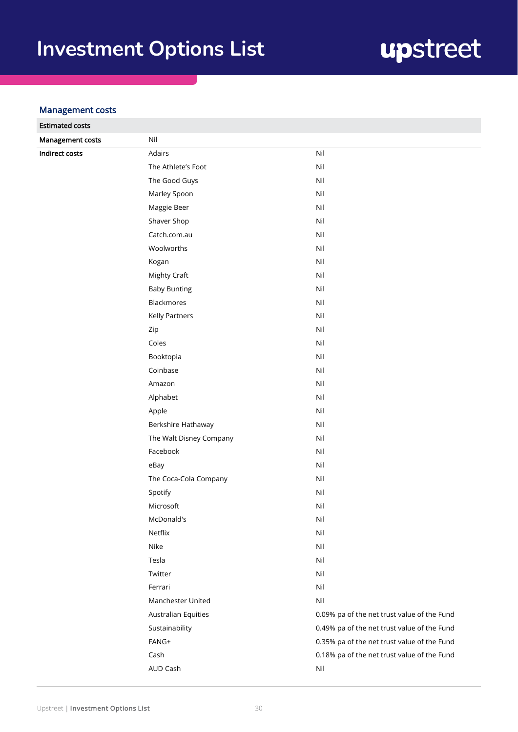## upstreet

#### Management costs

| <b>Estimated costs</b> |                            |                                             |
|------------------------|----------------------------|---------------------------------------------|
| Management costs       | Nil                        |                                             |
| <b>Indirect costs</b>  | Adairs                     | Nil                                         |
|                        | The Athlete's Foot         | Nil                                         |
|                        | The Good Guys              | Nil                                         |
|                        | Marley Spoon               | Nil                                         |
|                        | Maggie Beer                | Nil                                         |
|                        | Shaver Shop                | Nil                                         |
|                        | Catch.com.au               | Nil                                         |
|                        | Woolworths                 | Nil                                         |
|                        | Kogan                      | Nil                                         |
|                        | Mighty Craft               | Nil                                         |
|                        | <b>Baby Bunting</b>        | Nil                                         |
|                        | Blackmores                 | Nil                                         |
|                        | <b>Kelly Partners</b>      | Nil                                         |
|                        | Zip                        | Nil                                         |
|                        | Coles                      | Nil                                         |
|                        | Booktopia                  | Nil                                         |
|                        | Coinbase                   | Nil                                         |
|                        | Amazon                     | Nil                                         |
|                        | Alphabet                   | Nil                                         |
|                        | Apple                      | Nil                                         |
|                        | Berkshire Hathaway         | Nil                                         |
|                        | The Walt Disney Company    | Nil                                         |
|                        | Facebook                   | Nil                                         |
|                        | eBay                       | Nil                                         |
|                        | The Coca-Cola Company      | Nil                                         |
|                        | Spotify                    | Nil                                         |
|                        | Microsoft                  | Nil                                         |
|                        | McDonald's                 | Nil                                         |
|                        | Netflix                    | Nil                                         |
|                        | Nike                       | Nil                                         |
|                        | Tesla                      | Nil                                         |
|                        | Twitter                    | Nil                                         |
|                        | Ferrari                    | Nil                                         |
|                        | Manchester United          | Nil                                         |
|                        | <b>Australian Equities</b> | 0.09% pa of the net trust value of the Fund |
|                        | Sustainability             | 0.49% pa of the net trust value of the Fund |
|                        | FANG+                      | 0.35% pa of the net trust value of the Fund |
|                        | Cash                       | 0.18% pa of the net trust value of the Fund |
|                        | AUD Cash                   | Nil                                         |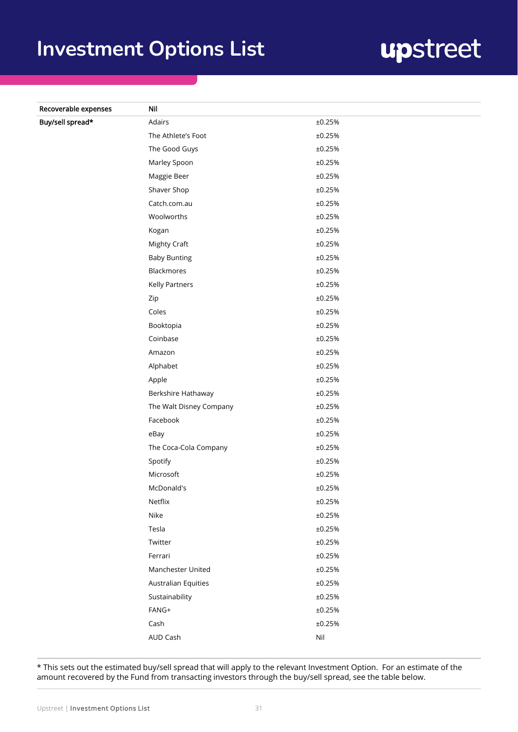## upstreet

| Recoverable expenses | Nil                     |        |
|----------------------|-------------------------|--------|
| Buy/sell spread*     | Adairs                  | ±0.25% |
|                      | The Athlete's Foot      | ±0.25% |
|                      | The Good Guys           | ±0.25% |
|                      | Marley Spoon            | ±0.25% |
|                      | Maggie Beer             | ±0.25% |
|                      | Shaver Shop             | ±0.25% |
|                      | Catch.com.au            | ±0.25% |
|                      | Woolworths              | ±0.25% |
|                      | Kogan                   | ±0.25% |
|                      | Mighty Craft            | ±0.25% |
|                      | <b>Baby Bunting</b>     | ±0.25% |
|                      | Blackmores              | ±0.25% |
|                      | Kelly Partners          | ±0.25% |
|                      | Zip                     | ±0.25% |
|                      | Coles                   | ±0.25% |
|                      | Booktopia               | ±0.25% |
|                      | Coinbase                | ±0.25% |
|                      | Amazon                  | ±0.25% |
|                      | Alphabet                | ±0.25% |
|                      | Apple                   | ±0.25% |
|                      | Berkshire Hathaway      | ±0.25% |
|                      | The Walt Disney Company | ±0.25% |
|                      | Facebook                | ±0.25% |
|                      | eBay                    | ±0.25% |
|                      | The Coca-Cola Company   | ±0.25% |
|                      | Spotify                 | ±0.25% |
|                      | Microsoft               | ±0.25% |
|                      | McDonald's              | ±0.25% |
|                      | Netflix                 | ±0.25% |
|                      | Nike                    | ±0.25% |
|                      | Tesla                   | ±0.25% |
|                      | Twitter                 | ±0.25% |
|                      | Ferrari                 | ±0.25% |
|                      | Manchester United       | ±0.25% |
|                      | Australian Equities     | ±0.25% |
|                      | Sustainability          | ±0.25% |
|                      | FANG+                   | ±0.25% |
|                      | Cash                    | ±0.25% |
|                      | AUD Cash                | Nil    |

\* This sets out the estimated buy/sell spread that will apply to the relevant Investment Option. For an estimate of the amount recovered by the Fund from transacting investors through the buy/sell spread, see the table below.